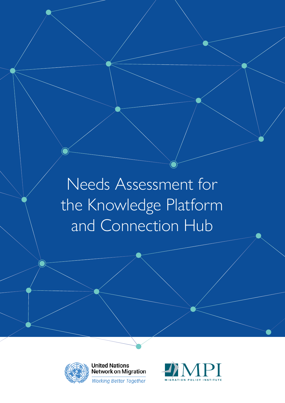Needs Assessment for the Knowledge Platform and Connection Hub



**United Nations Network on Migration Working Better Together** 

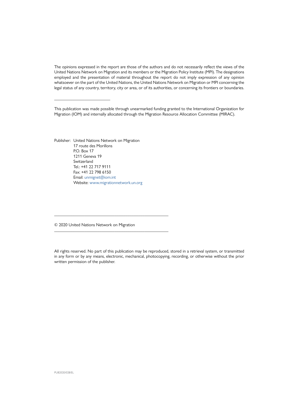The opinions expressed in the report are those of the authors and do not necessarily reflect the views of the United Nations Network on Migration and its members or the Migration Policy Institute (MPI). The designations employed and the presentation of material throughout the report do not imply expression of any opinion whatsoever on the part of the United Nations, the United Nations Network on Migration or MPI concerning the legal status of any country, territory, city or area, or of its authorities, or concerning its frontiers or boundaries.

This publication was made possible through unearmarked funding granted to the International Organization for Migration (IOM) and internally allocated through the Migration Resource Allocation Committee (MIRAC).

Publisher: United Nations Network on Migration 17 route des Morillons  $PO$  Box 17 1211 Geneva 19 Switzerland Tel.: +41 22 717 9111 Fax: +41 22 798 6150 Email: [unmignet@iom.int](mailto:unmignet%40iom.int?subject=) Website: [www.migrationnetwork.un.org](http://www.migrationnetwork.un.org)

\_\_\_\_\_\_\_\_\_\_\_\_\_\_\_\_\_\_\_\_\_\_\_\_\_\_

© 2020 United Nations Network on Migration

\_\_\_\_\_\_\_\_\_\_\_\_\_\_\_\_\_\_\_\_\_\_\_\_\_\_\_\_\_\_\_\_\_\_\_\_\_\_\_\_\_\_\_\_\_\_\_\_\_\_\_\_\_

\_\_\_\_\_\_\_\_\_\_\_\_\_\_\_\_\_\_\_\_\_\_\_\_\_\_\_\_\_\_\_\_\_\_\_\_\_\_\_\_\_\_\_\_\_\_\_\_\_\_\_\_\_

All rights reserved. No part of this publication may be reproduced, stored in a retrieval system, or transmitted in any form or by any means, electronic, mechanical, photocopying, recording, or otherwise without the prior written permission of the publisher.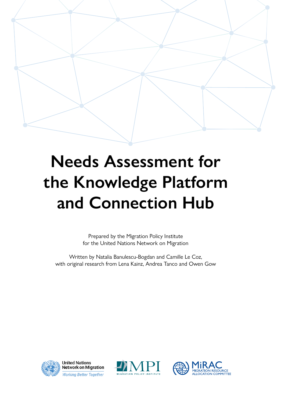

# **Needs Assessment for the Knowledge Platform and Connection Hub**

Prepared by the Migration Policy Institute for the United Nations Network on Migration

Written by Natalia Banulescu-Bogdan and Camille Le Coz, with original research from Lena Kainz, Andrea Tanco and Owen Gow



**United Nations Network on Migration Working Better Together** 



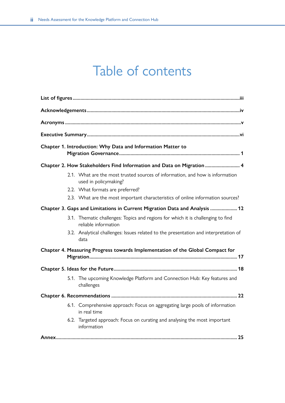### Table of contents

|                                                                            | Chapter 1. Introduction: Why Data and Information Matter to                                              |  |
|----------------------------------------------------------------------------|----------------------------------------------------------------------------------------------------------|--|
|                                                                            | Chapter 2. How Stakeholders Find Information and Data on Migration  4                                    |  |
|                                                                            | 2.1. What are the most trusted sources of information, and how is information<br>used in policymaking?   |  |
|                                                                            | 2.2. What formats are preferred?                                                                         |  |
|                                                                            | 2.3. What are the most important characteristics of online information sources?                          |  |
| Chapter 3. Gaps and Limitations in Current Migration Data and Analysis  12 |                                                                                                          |  |
|                                                                            | 3.1. Thematic challenges: Topics and regions for which it is challenging to find<br>reliable information |  |
|                                                                            | 3.2. Analytical challenges: Issues related to the presentation and interpretation of<br>data             |  |
|                                                                            | Chapter 4. Measuring Progress towards Implementation of the Global Compact for                           |  |
|                                                                            |                                                                                                          |  |
|                                                                            | 5.1. The upcoming Knowledge Platform and Connection Hub: Key features and<br>challenges                  |  |
|                                                                            |                                                                                                          |  |
|                                                                            | 6.1. Comprehensive approach: Focus on aggregating large pools of information<br>in real time             |  |
|                                                                            | 6.2. Targeted approach: Focus on curating and analysing the most important<br>information                |  |
|                                                                            |                                                                                                          |  |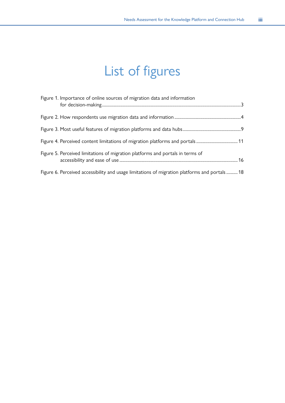## List of figures

<span id="page-4-0"></span>

| Figure 1. Importance of online sources of migration data and information                      |  |
|-----------------------------------------------------------------------------------------------|--|
|                                                                                               |  |
|                                                                                               |  |
|                                                                                               |  |
| Figure 5. Perceived limitations of migration platforms and portals in terms of                |  |
| Figure 6. Perceived accessibility and usage limitations of migration platforms and portals 18 |  |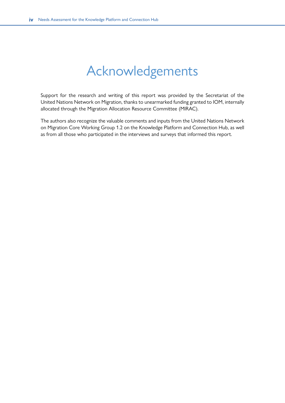### Acknowledgements

<span id="page-5-0"></span>Support for the research and writing of this report was provided by the Secretariat of the United Nations Network on Migration, thanks to unearmarked funding granted to IOM, internally allocated through the Migration Allocation Resource Committee (MIRAC).

The authors also recognize the valuable comments and inputs from the United Nations Network on Migration Core Working Group 1.2 on the Knowledge Platform and Connection Hub, as well as from all those who participated in the interviews and surveys that informed this report.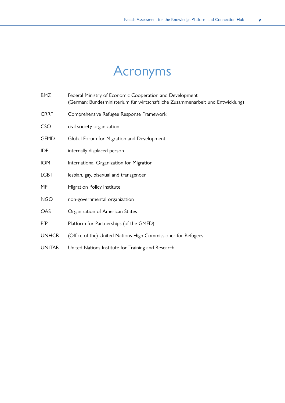## Acronyms

<span id="page-6-0"></span>

| BMZ           | Federal Ministry of Economic Cooperation and Development<br>(German: Bundesministerium für wirtschaftliche Zusammenarbeit und Entwicklung) |
|---------------|--------------------------------------------------------------------------------------------------------------------------------------------|
| <b>CRRF</b>   | Comprehensive Refugee Response Framework                                                                                                   |
| <b>CSO</b>    | civil society organization                                                                                                                 |
| <b>GFMD</b>   | Global Forum for Migration and Development                                                                                                 |
| <b>IDP</b>    | internally displaced person                                                                                                                |
| <b>IOM</b>    | International Organization for Migration                                                                                                   |
| <b>LGBT</b>   | lesbian, gay, bisexual and transgender                                                                                                     |
| MPI           | Migration Policy Institute                                                                                                                 |
| <b>NGO</b>    | non-governmental organization                                                                                                              |
| <b>OAS</b>    | Organization of American States                                                                                                            |
| PfP           | Platform for Partnerships (of the GMFD)                                                                                                    |
| <b>UNHCR</b>  | (Office of the) United Nations High Commissioner for Refugees                                                                              |
| <b>UNITAR</b> | United Nations Institute for Training and Research                                                                                         |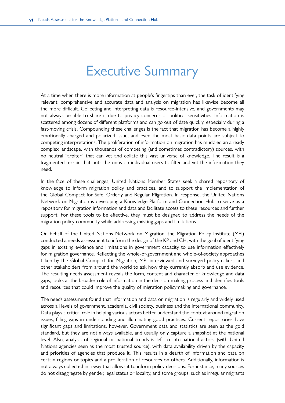### Executive Summary

<span id="page-7-0"></span>At a time when there is more information at people's fingertips than ever, the task of identifying relevant, comprehensive and accurate data and analysis on migration has likewise become all the more difficult. Collecting and interpreting data is resource-intensive, and governments may not always be able to share it due to privacy concerns or political sensitivities. Information is scattered among dozens of different platforms and can go out of date quickly, especially during a fast-moving crisis. Compounding these challenges is the fact that migration has become a highly emotionally charged and polarized issue, and even the most basic data points are subject to competing interpretations. The proliferation of information on migration has muddied an already complex landscape, with thousands of competing (and sometimes contradictory) sources, with no neutral "arbiter" that can vet and collate this vast universe of knowledge. The result is a fragmented terrain that puts the onus on individual users to filter and vet the information they need.

In the face of these challenges, United Nations Member States seek a shared repository of knowledge to inform migration policy and practices, and to support the implementation of the Global Compact for Safe, Orderly and Regular Migration. In response, the United Nations Network on Migration is developing a Knowledge Platform and Connection Hub to serve as a repository for migration information and data and facilitate access to these resources and further support. For these tools to be effective, they must be designed to address the needs of the migration policy community while addressing existing gaps and limitations.

On behalf of the United Nations Network on Migration, the Migration Policy Institute (MPI) conducted a needs assessment to inform the design of the KP and CH, with the goal of identifying gaps in existing evidence and limitations in government capacity to use information effectively for migration governance. Reflecting the whole-of-government and whole-of-society approaches taken by the Global Compact for Migration, MPI interviewed and surveyed policymakers and other stakeholders from around the world to ask how they currently absorb and use evidence. The resulting needs assessment reveals the form, content and character of knowledge and data gaps, looks at the broader role of information in the decision-making process and identifies tools and resources that could improve the quality of migration policymaking and governance.

The needs assessment found that information and data on migration is regularly and widely used across all levels of government, academia, civil society, business and the international community. Data plays a critical role in helping various actors better understand the context around migration issues, filling gaps in understanding and illuminating good practices. Current repositories have significant gaps and limitations, however. Government data and statistics are seen as the gold standard, but they are not always available, and usually only capture a snapshot at the national level. Also, analysis of regional or national trends is left to international actors (with United Nations agencies seen as the most trusted source), with data availability driven by the capacity and priorities of agencies that produce it. This results in a dearth of information and data on certain regions or topics and a proliferation of resources on others. Additionally, information is not always collected in a way that allows it to inform policy decisions. For instance, many sources do not disaggregate by gender, legal status or locality, and some groups, such as irregular migrants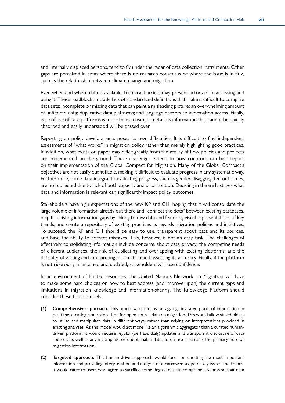and internally displaced persons, tend to fly under the radar of data collection instruments. Other gaps are perceived in areas where there is no research consensus or where the issue is in flux, such as the relationship between climate change and migration.

Even when and where data is available, technical barriers may prevent actors from accessing and using it. These roadblocks include lack of standardized definitions that make it difficult to compare data sets; incomplete or missing data that can paint a misleading picture; an overwhelming amount of unfiltered data; duplicative data platforms; and language barriers to information access. Finally, ease of use of data platforms is more than a cosmetic detail, as information that cannot be quickly absorbed and easily understood will be passed over.

Reporting on policy developments poses its own difficulties. It is difficult to find independent assessments of "what works" in migration policy rather than merely highlighting good practices. In addition, what exists on paper may differ greatly from the reality of how policies and projects are implemented on the ground. These challenges extend to how countries can best report on their implementation of the Global Compact for Migration. Many of the Global Compact's objectives are not easily quantifiable, making it difficult to evaluate progress in any systematic way. Furthermore, some data integral to evaluating progress, such as gender-disaggregated outcomes, are not collected due to lack of both capacity and prioritization. Deciding in the early stages what data and information is relevant can significantly impact policy outcomes.

Stakeholders have high expectations of the new KP and CH, hoping that it will consolidate the large volume of information already out there and "connect the dots" between existing databases, help fill existing information gaps by linking to raw data and featuring visual representations of key trends, and create a repository of existing practices as regards migration policies and initiatives. To succeed, the KP and CH should be easy to use, transparent about data and its sources, and have the ability to correct mistakes. This, however, is not an easy task. The challenges of effectively consolidating information include concerns about data privacy, the competing needs of different audiences, the risk of duplicating and overlapping with existing platforms, and the difficulty of vetting and interpreting information and assessing its accuracy. Finally, if the platform is not rigorously maintained and updated, stakeholders will lose confidence.

In an environment of limited resources, the United Nations Network on Migration will have to make some hard choices on how to best address (and improve upon) the current gaps and limitations in migration knowledge and information-sharing. The Knowledge Platform should consider these three models.

- **(1) Comprehensive approach.** This model would focus on aggregating large pools of information in real time, creating a one-stop-shop for open-source data on migration. This would allow stakeholders to utilize and manipulate data in different ways, rather than relying on interpretations provided in existing analyses. As this model would act more like an algorithmic aggregator than a curated humandriven platform, it would require regular (perhaps daily) updates and transparent disclosure of data sources, as well as any incomplete or unobtainable data, to ensure it remains the primary hub for migration information.
- **(2) Targeted approach.** This human-driven approach would focus on curating the most important information and providing interpretation and analysis of a narrower scope of key issues and trends. It would cater to users who agree to sacrifice some degree of data comprehensiveness so that data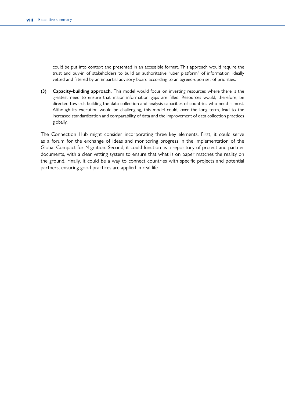could be put into context and presented in an accessible format. This approach would require the trust and buy-in of stakeholders to build an authoritative "uber platform" of information, ideally vetted and filtered by an impartial advisory board according to an agreed-upon set of priorities.

**(3) Capacity-building approach.** This model would focus on investing resources where there is the greatest need to ensure that major information gaps are filled. Resources would, therefore, be directed towards building the data collection and analysis capacities of countries who need it most. Although its execution would be challenging, this model could, over the long term, lead to the increased standardization and comparability of data and the improvement of data collection practices globally.

The Connection Hub might consider incorporating three key elements. First, it could serve as a forum for the exchange of ideas and monitoring progress in the implementation of the Global Compact for Migration. Second, it could function as a repository of project and partner documents, with a clear vetting system to ensure that what is on paper matches the reality on the ground. Finally, it could be a way to connect countries with specific projects and potential partners, ensuring good practices are applied in real life.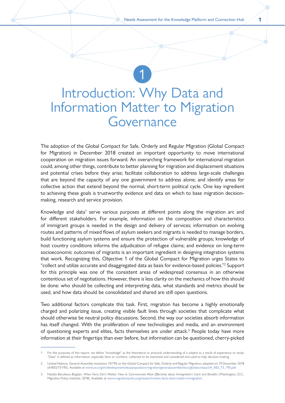### <span id="page-10-0"></span>Introduction: Why Data and Information Matter to Migration Governance

1

The adoption of the Global Compact for Safe, Orderly and Regular Migration (Global Compact for Migration) in December 2018 created an important opportunity to move international cooperation on migration issues forward. An overarching framework for international migration could, among other things, contribute to better planning for migration and displacement situations and potential crises before they arise; facilitate collaboration to address large-scale challenges that are beyond the capacity of any one government to address alone; and identify areas for collective action that extend beyond the normal, short-term political cycle. One key ingredient to achieving these goals is trustworthy evidence and data on which to base migration decisionmaking, research and service provision.

Knowledge and data<sup>1</sup> serve various purposes at different points along the migration arc and for different stakeholders. For example, information on the composition and characteristics of immigrant groups is needed in the design and delivery of services; information on evolving routes and patterns of mixed flows of asylum seekers and migrants is needed to manage borders, build functioning asylum systems and ensure the protection of vulnerable groups; knowledge of host country conditions informs the adjudication of refugee claims; and evidence on long-term socioeconomic outcomes of migrants is an important ingredient in designing integration systems that work. Recognizing this, Objective 1 of the Global Compact for Migration urges States to "collect and utilize accurate and disaggregated data as basis for evidence-based policies."2 Support for this principle was one of the consistent areas of widespread consensus in an otherwise contentious set of negotiations. However, there is less clarity on the mechanics of how this should be done: who should be collecting and interpreting data, what standards and metrics should be used, and how data should be consolidated and shared are still open questions.

Two additional factors complicate this task. First, migration has become a highly emotionally charged and polarizing issue, creating visible fault lines through societies that complicate what should otherwise be neutral policy discussions. Second, the way our societies absorb information has itself changed. With the proliferation of new technologies and media, and an environment of questioning experts and elites, facts themselves are under attack.<sup>3</sup> People today have more information at their fingertips than ever before, but information can be questioned, cherry-picked

<sup>1</sup> For the purposes of this report, we define "knowledge" as the theoretical or practical understanding of a subject as a result of experience or study. "Data" is defined as information, especially facts or numbers, collected to be examined and considered and used to help decision-making.

<sup>2</sup> United Nations, General Assembly resolution 73/195 on the Global Compact for Safe, Orderly and Regular Migration, adopted on 19 December 2018 (A/RES/73/195). Available at [www.un.org/en/development/desa/population/migration/generalassembly/docs/globalcompact/A\\_RES\\_73\\_195.pdf](https://www.un.org/en/development/desa/population/migration/generalassembly/docs/globalcompact/A_RES_73_195.pdf).

<sup>3</sup> Natalia Banulescu-Bogdan, *When Facts Don't Matter: How to Communicate More Effectively about Immigration's Costs and Benefits* (Washington, D.C., Migration Policy Institute, 2018). Available at [www.migrationpolicy.org/research/when-facts-dont-matter-immigration](https://www.migrationpolicy.org/research/when-facts-dont-matter-immigration).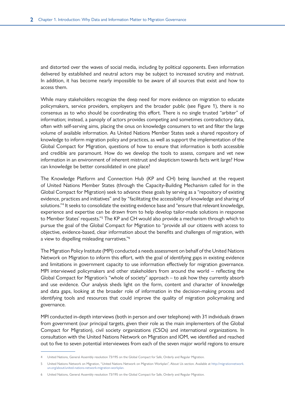and distorted over the waves of social media, including by political opponents. Even information delivered by established and neutral actors may be subject to increased scrutiny and mistrust. In addition, it has become nearly impossible to be aware of all sources that exist and how to access them.

While many stakeholders recognize the deep need for more evidence on migration to educate policymakers, service providers, employers and the broader public (see Figure 1), there is no consensus as to who should be coordinating this effort. There is no single trusted "arbiter" of information; instead, a panoply of actors provides competing and sometimes contradictory data, often with self-serving aims, placing the onus on knowledge consumers to vet and filter the large volume of available information. As United Nations Member States seek a shared repository of knowledge to inform migration policy and practices, as well as support the implementation of the Global Compact for Migration, questions of how to ensure that information is both accessible and credible are paramount. How do we develop the tools to assess, compare and vet new information in an environment of inherent mistrust and skepticism towards facts writ large? How can knowledge be better consolidated in one place?

The Knowledge Platform and Connection Hub (KP and CH) being launched at the request of United Nations Member States (through the Capacity-Building Mechanism called for in the Global Compact for Migration) seek to advance these goals by serving as a "repository of existing evidence, practices and initiatives" and by "facilitating the accessibility of knowledge and sharing of solutions."<sup>4</sup> It seeks to consolidate the existing evidence base and "ensure that relevant knowledge, experience and expertise can be drawn from to help develop tailor-made solutions in response to Member States' requests."<sup>5</sup> The KP and CH would also provide a mechanism through which to pursue the goal of the Global Compact for Migration to "provide all our citizens with access to objective, evidence-based, clear information about the benefits and challenges of migration, with a view to dispelling misleading narratives."6

The Migration Policy Institute (MPI) conducted a needs assessment on behalf of the United Nations Network on Migration to inform this effort, with the goal of identifying gaps in existing evidence and limitations in government capacity to use information effectively for migration governance. MPI interviewed policymakers and other stakeholders from around the world – reflecting the Global Compact for Migration's "whole of society" approach – to ask how they currently absorb and use evidence. Our analysis sheds light on the form, content and character of knowledge and data gaps, looking at the broader role of information in the decision-making process and identifying tools and resources that could improve the quality of migration policymaking and governance.

MPI conducted in-depth interviews (both in person and over telephone) with 31 individuals drawn from government (our principal targets, given their role as the main implementers of the Global Compact for Migration), civil society organizations (CSOs) and international organizations. In consultation with the United Nations Network on Migration and IOM, we identified and reached out to five to seven potential interviewees from each of the seven major world regions to ensure

<sup>4</sup> United Nations, General Assembly resolution 73/195 on the Global Compact for Safe, Orderly and Regular Migration.

<sup>5</sup> United Nations Network on Migration, "United Nations Network on Migration Workplan", About Us section. Available at [http://migrationnetwork.](http://migrationnetwork.un.org/about/united-nations-network-migration-workplan) [un.org/about/united-nations-network-migration-workplan](http://migrationnetwork.un.org/about/united-nations-network-migration-workplan).

<sup>6</sup> United Nations, General Assembly resolution 73/195 on the Global Compact for Safe, Orderly and Regular Migration.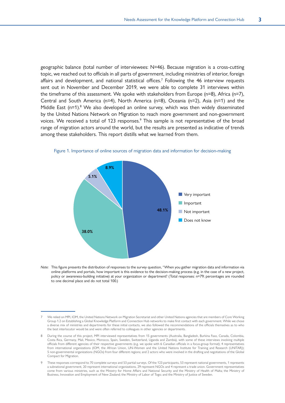<span id="page-12-0"></span>geographic balance (total number of interviewees: N=46). Because migration is a cross-cutting topic, we reached out to officials in all parts of government, including ministries of interior, foreign affairs and development, and national statistical offices.<sup>7</sup> Following the 46 interview requests sent out in November and December 2019, we were able to complete 31 interviews within the timeframe of this assessment. We spoke with stakeholders from Europe (n=8), Africa (n=7), Central and South America (n=4), North America (n=8), Oceania (n=2), Asia (n=1) and the Middle East (n=1).<sup>8</sup> We also developed an online survey, which was then widely disseminated by the United Nations Network on Migration to reach more government and non-government voices. We received a total of 123 responses. $9$  This sample is not representative of the broad range of migration actors around the world, but the results are presented as indicative of trends among these stakeholders. This report distills what we learned from them.



Figure 1. Importance of online sources of migration data and information for decision-making

*Note:* This figure presents the distribution of responses to the survey question, "When you gather migration data and information via online platforms and portals, how important is this evidence to the decision-making process (e.g. in the case of a new project, policy or awareness-building initiative) at your organization or department? (Total responses: n=79; percentages are rounded to one decimal place and do not total 100.)

<sup>7</sup> We relied on MPI, IOM, the United Nations Network on Migration Secretariat and other United Nations agencies that are members of Core Working Group 1.2 on Establishing a Global Knowledge Platform and Connection Hub networks to make first contact with each government. While we chose a diverse mix of ministries and departments for these initial contacts, we also followed the recommendations of the officials themselves as to who the best interlocutor would be and were often referred to colleagues in other agencies or departments.

<sup>8</sup> During the course of this project, MPI interviewed representatives from 15 governments (Australia, Bangladesh, Burkina Faso, Canada, Colombia, Costa Rica, Germany, Mali, Mexico, Morocco, Spain, Sweden, Switzerland, Uganda and Zambia), with some of these interviews involving multiple officials from different agencies of their respective governments (e.g. we spoke with 6 Canadian officials in a focus-group format); 4 representatives from international organizations (IOM, the African Union, UN-Women and the United Nations Institute for Training and Research (UNITAR)); 5 non-governmental organizations (NGOs) from four different regions; and 2 actors who were involved in the drafting and negotiations of the Global Compact for Migration.

These responses correspond to 70 complete surveys and 53 partial surveys. Of the 123 participants, 53 represent national governments, 1 represents a subnational government, 20 represent international organizations, 29 represent NGOs and 4 represent a trade union. Government representatives come from various ministries, such as the Ministry for Home Affairs and National Security and the Ministry of Health of Malta; the Ministry of Business, Innovation and Employment of New Zealand; the Ministry of Labor of Togo; and the Ministry of Justice of Sweden.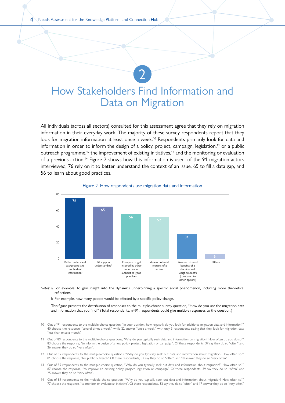### <span id="page-13-0"></span>How Stakeholders Find Information and Data on Migration

2

All individuals (across all sectors) consulted for this assessment agree that they rely on migration information in their everyday work. The majority of these survey respondents report that they look for migration information at least once a week.<sup>10</sup> Respondents primarily look for data and information in order to inform the design of a policy, project, campaign, legislation,<sup>11</sup> or a public outreach programme,<sup>12</sup> the improvement of existing initiatives,<sup>13</sup> and the monitoring or evaluation of a previous action.<sup>14</sup> Figure 2 shows how this information is used: of the 91 migration actors interviewed, 76 rely on it to better understand the context of an issue, 65 to fill a data gap, and 56 to learn about good practices.



#### Figure 2. How respondents use migration data and information

*Notes:* a For example, to gain insight into the dynamics underpinning a specific social phenomenon, including more theoretical reflections.

b For example, how many people would be affected by a specific policy change.

This figure presents the distribution of responses to the multiple-choice survey question, "How do you use the migration data and information that you find?" (Total respondents: n=91; respondents could give multiple responses to the question.)

- 13 Out of 89 respondents to the multiple-choice question, "Why do you typically seek out data and information about migration?" How often so?", 87 choose the response, "to improve an existing policy, project, legislation or campaign". Of these respondents, 39 say they do so "often" and 25 answer they do so "very often".
- 14 Out of 89 respondents to the multiple-choice question, "Why do you typically seek out data and information about migration? How often so?", 77 choose the response, "to monitor or evaluate an initiative". Of these respondents, 32 say they do so "often" and 17 answer they do so "very often".

<sup>10</sup> Out of 91 respondents to the multiple-choice question, "In your position, how regularly do you look for additional migration data and information?", 40 choose the response, "several times a week", while 22 answer "once a week", with only 3 respondents saying that they look for migration data "less than once a month".

<sup>11</sup> Out of 89 respondents to the multiple-choice questions, "Why do you typically seek data and information on migration? How often do you do so?", 83 choose the response, "to inform the design of a new policy, project, legislation or campaign". Of these respondents, 37 say they do so "often" and 26 answer they do so "very often".

<sup>12</sup> Out of 89 respondents to the multiple-choice questions, "Why do you typically seek out data and information about migration? How often so?", 81 choose the response, "for public outreach". Of these respondents, 32 say they do so "often" and 18 answer they do so "very often".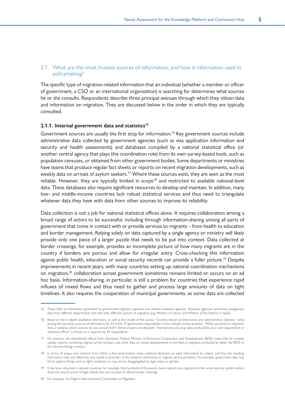#### <span id="page-14-0"></span>2.1. What are the most trusted sources of information, and how is information used in policymaking?

The specific type of migration-related information that an individual (whether a member or officer of government, a CSO or an international organization) is searching for determines what sources he or she consults. Respondents describe three principal avenues through which they obtain data and information on migration. They are discussed below in the order in which they are typically consulted.

#### 2.1.1. Internal government data and statistics<sup>15</sup>

Government sources are usually the first stop for information.<sup>16</sup> Key government sources include administrative data collected by government agencies (such as visa application information and security and health assessments) and databases compiled by a national statistical office (or another central agency that plays this coordination role) from its own survey-based tools, such as population censuses, or obtained from other government bodies. Some departments or ministries have teams that produce regular fact sheets or reports on recent migration developments, such as weekly data on arrivals of asylum seekers.<sup>17</sup> Where these sources exist, they are seen as the most reliable. However, they are typically limited in scope<sup>18</sup> and restricted to available national-level data. These databases also require significant resources to develop and maintain. In addition, many low- and middle-income countries lack robust statistical services and thus need to triangulate whatever data they have with data from other sources to improve its reliability.

Data collection is not a job for national statistical offices alone. It requires collaboration among a broad range of actors to be successful, including through information-sharing among all parts of government that come in contact with or provide services to migrants – from health to education and border management. Relying solely on data captured by a single agency or ministry will likely provide only one piece of a larger puzzle that needs to be put into context. Data collected at border crossings, for example, provides an incomplete picture of how many migrants are in the country if borders are porous and allow for irregular entry. Cross-checking this information against public health, education or social security records can provide a fuller picture.<sup>19</sup> Despite improvements in recent years, with many countries setting up national coordination mechanisms on migration,<sup>20</sup> collaboration across government sometimes remains limited or occurs on an ad hoc basis. Information-sharing, in particular, is still a problem for countries that experience rapid influxes of mixed flows and thus need to gather and process large amounts of data on tight timelines. It also requires the cooperation of municipal governments, as some data are collected

20 For example, the Niger's Interministerial Committee on Migration.

<sup>15</sup> These refer to information generated by government migration agencies and national statistical agencies. Statistical agencies sometimes amalgamate data from different departments that deal with different aspects of migration (e.g. Ministry of Labour and Ministry of the Interior in Spain).

<sup>16</sup> Based on the in-depth qualitative interviews, as well as the results of the survey. "Country-based socioeconomic and administrative statistics" ranks among the top three sources of information for 52 of the 77 government respondents to the multiple-choice question, "When you look for migration data or analysis, which sources do you consult first?" (three answers are allowed). "Internal data sets (e.g. data produced by your own department or statistical office)" is chosen as a response by 43 respondents.

<sup>17</sup> For instance, the interviewed official from Germany's Federal Ministry of Economic Cooperation and Development (BMZ) notes that he receives weekly reports containing migrant arrival numbers and other data on recent developments in the field of migration produced by either the BMZ or the German foreign ministry.

<sup>18</sup> In terms of scope, one criticism from CSOs is that governments make unilateral decisions on what information to collect, and thus the resulting information may not reflect the true needs or priorities of the research community or migrant service providers. For example, government data may fail to capture things such as rights violations or may not be disaggregated by legal status or gender.

<sup>19</sup> It has been observed in several countries, for example, that hundreds of thousands more migrants are registered in the social security system (which does not require proof of legal status) than are counted at official border crossings.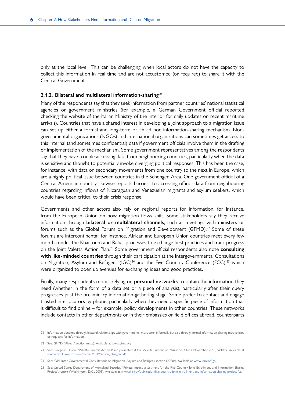only at the local level. This can be challenging when local actors do not have the capacity to collect this information in real time and are not accustomed (or required) to share it with the Central Government.

#### **2.1.2. Bilateral and multilateral information-sharing <sup>21</sup>**

Many of the respondents say that they seek information from partner countries' national statistical agencies or government ministries (for example, a German Government official reported checking the website of the Italian Ministry of the Interior for daily updates on recent maritime arrivals). Countries that have a shared interest in developing a joint approach to a migration issue can set up either a formal and long-term or an ad hoc information-sharing mechanism. Nongovernmental organizations (NGOs) and international organizations can sometimes get access to this internal (and sometimes confidential) data if government officials involve them in the drafting or implementation of the mechanism. Some government representatives among the respondents say that they have trouble accessing data from neighbouring countries, particularly when the data is sensitive and thought to potentially invoke diverging political responses. This has been the case, for instance, with data on secondary movements from one country to the next in Europe, which are a highly political issue between countries in the Schengen Area. One government official of a Central American country likewise reports barriers to accessing official data from neighbouring countries regarding inflows of Nicaraguan and Venezuelan migrants and asylum seekers, which would have been critical to their crisis response.

Governments and other actors also rely on regional reports for information, for instance, from the European Union on how migration flows shift. Some stakeholders say they receive information through **bilateral or multilateral channels**, such as meetings with ministers or forums such as the Global Forum on Migration and Development (GFMD).<sup>22</sup> Some of these forums are intercontinental: for instance, African and European Union countries meet every few months under the Khartoum and Rabat processes to exchange best practices and track progress on the Joint Valetta Action Plan.23 Some government official respondents also note **consulting with like-minded countries** through their participation at the Intergovernmental Consultations on Migration, Asylum and Refugees  $(IGC)^{24}$  and the Five Country Conference (FCC),<sup>25</sup> which were organized to open up avenues for exchanging ideas and good practices.

Finally, many respondents report relying on **personal networks** to obtain the information they need (whether in the form of a data set or a piece of analysis), particularly after their query progresses past the preliminary information-gathering stage. Some prefer to contact and engage trusted interlocutors by phone, particularly when they need a specific piece of information that is difficult to find online – for example, policy developments in other countries. These networks include contacts in other departments or in their embassies or field offices abroad, counterparts

<sup>21</sup> Information obtained through bilateral relationships with governments, most often informally but also through formal information-sharing mechanisms or requests for information.

<sup>22</sup> See: GFMD, "About" section (n.d.a). Available at [www.gfmd.org.](https://www.gfmd.org/)

<sup>23</sup> See: European Union, "[Valletta Summit Action Plan"](https://www.consilium.europa.eu/media/21839/action_plan_en.pdf), presented at the Valletta Summit on Migration, 11–12 November 2015, Valletta. Available at [www.consilium.europa.eu/media/21839/action\\_plan\\_en.pdf.](https://www.consilium.europa.eu/media/21839/action_plan_en.pdf)

<sup>24</sup> See: IOM, Inter-Governmental Consultations on Migration, Asylum and Refugees section (2020a). Available at [www.iom.int/igc.](https://www.iom.int/igc)

<sup>25</sup> See: United States Department of Homeland Security, "Private impact assessment for the Five Country Joint Enrollment and Information-Sharing Project", report (Washington, D.C., 2009). Available at [www.dhs.gov/publication/five-country-joint-enrollment-and-information-sharing-project-fcc.](https://www.dhs.gov/publication/five-country-joint-enrollment-and-information-sharing-project-fcc)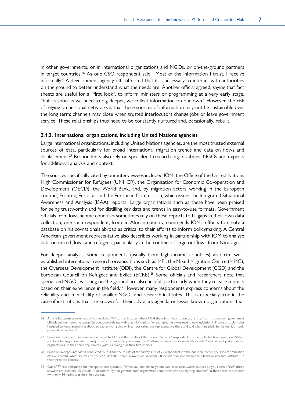in other governments, or in international organizations and NGOs, or on-the-ground partners in target countries.<sup>26</sup> As one CSO respondent said: "Most of the information I trust, I receive informally." A development agency official noted that it is necessary to interact with authorities on the ground to better understand what the needs are. Another official agreed, saying that fact sheets are useful for a "first look", to inform ministers or programming at a very early stage, "but as soon as we need to dig deeper, we collect information on our own." However, the risk of relying on personal networks is that these sources of information may not be sustainable over the long term; channels may close when trusted interlocutors change jobs or leave government service. These relationships thus need to be constantly nurtured and, occasionally, rebuilt.

#### **2.1.3. International organizations, including United Nations agencies**

Large international organizations, including United Nations agencies, are the most trusted external sources of data, particularly for broad international migration trends and data on flows and displacement.<sup>27</sup> Respondents also rely on specialized research organizations, NGOs and experts for additional analysis and context.

The sources specifically cited by our interviewees included IOM, the Office of the United Nations High Commissioner for Refugees (UNHCR), the Organisation for Economic Co-operation and Development (OECD), the World Bank, and, by migration actors working in the European context, Frontex, Eurostat and the European Commission, which issues the Integrated Situational Awareness and Analysis (ISAA) reports. Large organizations such as these have been praised for being trustworthy and for distilling key data and trends in easy-to-use formats. Government officials from low-income countries sometimes rely on these reports to fill gaps in their own data collection; one such respondent, from an African country, commends IOM's efforts to create a database on his co-nationals abroad as critical to their efforts to inform policymaking. A Central American government representative also describes working in partnership with IOM to analyse data on mixed flows and refugees, particularly in the context of large outflows from Nicaragua.

For deeper analysis, some respondents (usually from high-income countries) also cite wellestablished international research organizations such as MPI, the Mixed Migration Centre (MMC), the Overseas Development Institute (ODI), the Centre for Global Development (CGD) and the European Council on Refugees and Exiles (ECRE).<sup>28</sup> Some officials and researchers note that specialized NGOs working on the ground are also helpful, particularly when they release reports based on their experience in the field.<sup>29</sup> However, many respondents express concerns about the reliability and impartiality of smaller NGOs and research institutes. This is especially true in the case of institutions that are known for their advocacy agenda or lesser known organizations that

<sup>26</sup> As one European government official explains: "What I do in cases where I find there is an information gap is that I turn to our own government officials and our networks across Europe to provide me with that information. For example, there was recent, new legislation in France on asylum that I needed to know something about, so rather than going online, I just called our representative there and said what I needed. So, for me, it's mainly personal connections."

<sup>27</sup> Based on the in-depth interviews conducted by MPI and the results of the survey. Out of 77 respondents to the multiple-choice question, "When you look for migration data or analysis, which sources do you consult first?" (three answers are allowed), 85 include "publications by international organizations" in their three top choices (with 53 having it as their first choice).

<sup>28</sup> Based on in-depth interviews conducted by MPI and the results of the survey. Out of 77 respondents to the question "When you look for migration data or analysis, which sources do you consult first?" (three answers are allowed), 58 include "publications by think tanks or research institutes" in their three top choices.

<sup>29</sup> Out of 77 respondents to the multiple-choice question, "When you look for migration data or analysis, which sources do you consult first?" (three answers are allowed), 45 include "publications by non-governmental organizations and other civil society organizations" in their three top choices (with only 14 having it as their first choice).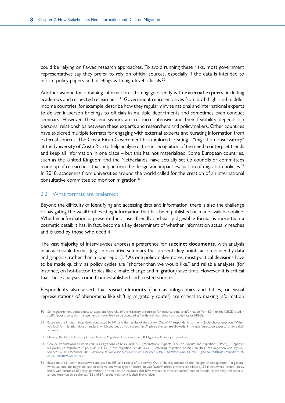<span id="page-17-0"></span>could be relying on flawed research approaches. To avoid running these risks, most government representatives say they prefer to rely on official sources, especially if the data is intended to inform policy papers and briefings with high-level officials.<sup>30</sup>

Another avenue for obtaining information is to engage directly with **external experts**, including academics and respected researchers.<sup>31</sup> Government representatives from both high- and middleincome countries, for example, describe how they regularly invite national and international experts to deliver in-person briefings to officials in multiple departments and sometimes even conduct seminars. However, these endeavours are resource-intensive and their feasibility depends on personal relationships between these experts and researchers and policymakers. Other countries have explored multiple formats for engaging with external experts and curating information from external sources. The Costa Rican Government has explored creating a "migration observatory" at the University of Costa Rica to help analyse data – in recognition of the need to interpret trends and keep all information in one place – but this has not materialized. Some European countries, such as the United Kingdom and the Netherlands, have actually set up councils or committees made up of researchers that help inform the design and impact evaluation of migration policies.<sup>32</sup> In 2018, academics from universities around the world called for the creation of an international consultative committee to monitor migration.<sup>33</sup>

#### 2.2. What formats are preferred?

Beyond the difficulty of identifying and accessing data and information, there is also the challenge of navigating the wealth of existing information that has been published or made available online. Whether information is presented in a user-friendly and easily digestible format is more than a cosmetic detail; it has, in fact, become a key determinant of whether information actually reaches and is used by those who need it.

The vast majority of interviewees express a preference for **succinct documents**, with analysis in an accessible format (e.g. an executive summary that presents key points accompanied by data and graphics, rather than a long report). $34$  As one policymaker notes, most political decisions have to be made quickly, as policy cycles are "shorter than we would like," and reliable analyses (for instance, on hot-button topics like climate change and migration) save time. However, it is critical that these analyses come from established and trusted sources.

Respondents also assert that **visual elements** (such as infographics and tables, or visual representations of phenomena like shifting migratory routes) are critical to making information

<sup>30</sup> Some government officials note an apparent hierarchy of the reliability of sources; for instance, data or information from IOM or the OECD cited in staff's reports to senior management is more likely to be accepted as "evidence" than data from academics or NGOs.

<sup>31</sup> Based on the in-depth interviews conducted by MPI and the results of the survey. Out of 77 respondents to the multiple-choice question, "When you look for migration data or analysis, which sources do you consult first?" (three choices are allowed), 41 include "migration experts" among their answers.

<sup>32</sup> Namely, the Dutch Advisory Committee on Migration Affairs and the UK Migration Advisory Committee.

<sup>33</sup> Groupe International d'Experts sur les Migrations et l'Asile (GIEMA) (International Experts Panel on Asylum and Migration (IEPAM)), "Repenser les politiques migratoires : pour un « GIEC » des migrations et de l'asile" (Rethinking migration policies: an IPCC for migration and asylum). SciencesPo, 10 December 2018. Available at [www.sciencespo.fr/fr/actualites/actualit%C3%A9s/pour-un-%C2%AB-giec-%C2%BB-des-migrations-et](https://www.sciencespo.fr/fr/actualites/actualit%C3%A9s/pour-un-%C2%AB-giec-%C2%BB-des-migrations-et-de-l%E2%80%99asile/3893)[de-l%E2%80%99asile/3893.](https://www.sciencespo.fr/fr/actualites/actualit%C3%A9s/pour-un-%C2%AB-giec-%C2%BB-des-migrations-et-de-l%E2%80%99asile/3893)

<sup>34</sup> Based on the in-depth interviews conducted by MPI and results of the survey. Out of 86 respondents to the multiple-choice question, "In general, when you look for migration data or information, what type of format do you favour?" (three answers are allowed), 76 interviewees include "policy briefs with examples of policy innovations or practices or initiatives that have worked in other countries" and 68 include "short analytical reports" among their top three choices (36 and 37, respectively, say it is their first choice).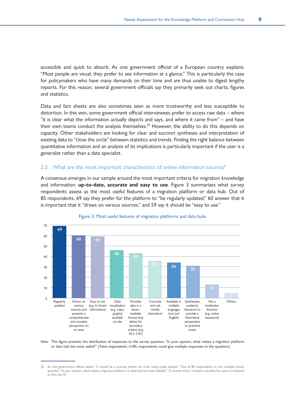<span id="page-18-0"></span>accessible and quick to absorb. As one government official of a European country explains: "Most people are visual; they prefer to see information at a glance." This is particularly the case for policymakers who have many demands on their time and are thus unable to digest lengthy reports. For this reason, several government officials say they primarily seek out charts, figures and statistics.

Data and fact sheets are also sometimes seen as more trustworthy and less susceptible to distortion. In this vein, some government official interviewees prefer to access raw data – where "it is clear what the information actually depicts and says, and where it came from" – and have their own teams conduct the analysis themselves.<sup>35</sup> However, the ability to do this depends on capacity. Other stakeholders are looking for clear and succinct syntheses and interpretation of existing data to "close the circle" between statistics and trends. Finding the right balance between quantitative information and an analysis of its implications is particularly important if the user is a generalist rather than a data specialist.

#### 2.3. What are the most important characteristics of online information sources?

A consensus emerges in our sample around the most important criteria for migration knowledge and information: **up-to-date, accurate and easy to use**. Figure 3 summarizes what survey respondents assess as the most useful features of a migration platform or data hub. Out of 85 respondents, 69 say they prefer for the platform to "be regularly updated," 60 answer that it is important that it "draws on various sources," and 59 say it should be "easy to use."



#### Figure 3. Most useful features of migration platforms and data hubs

*Note:* This figure presents the distribution of responses to the survey question, "In your opinion, what makes a migration platform or data hub the most useful?" (Total respondents: n=85; respondents could give multiple responses to the question.)

<sup>35</sup> As one government official states: "It would be a journey before we trust ready-made analysis." Out of 85 respondents to the multiple-choice question, "In your opinion, what makes a migration platform or data hub the most reliable?", 31 answer that it "contains raw data for users to interpret as they see fit".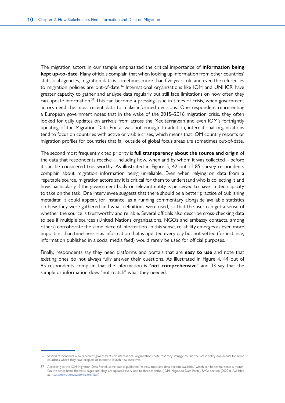The migration actors in our sample emphasized the critical importance of **information being kept up-to-date**. Many officials complain that when looking up information from other countries' statistical agencies, migration data is sometimes more than five years old and even the references to migration policies are out-of-date.<sup>36</sup> International organizations like IOM and UNHCR have greater capacity to gather and analyse data regularly but still face limitations on how often they can update information.<sup>37</sup> This can become a pressing issue in times of crisis, when government actors need the most recent data to make informed decisions. One respondent representing a European government notes that in the wake of the 2015–2016 migration crisis, they often looked for daily updates on arrivals from across the Mediterranean and even IOM's fortnightly updating of the Migration Data Portal was not enough. In addition, international organizations tend to focus on countries with active or visible crises, which means that IOM country reports or migration profiles for countries that fall outside of global focus areas are sometimes out-of-date.

The second most frequently cited priority is **full transparency about the source and origin** of the data that respondents receive – including how, when and by whom it was collected – before it can be considered trustworthy. As illustrated in Figure 5, 42 out of 85 survey respondents complain about migration information being unreliable. Even when relying on data from a reputable source, migration actors say it is critical for them to understand who is collecting it and how, particularly if the government body or relevant entity is perceived to have limited capacity to take on the task. One interviewee suggests that there should be a better practice of publishing metadata: it could appear, for instance, as a running commentary alongside available statistics on how they were gathered and what definitions were used, so that the user can get a sense of whether the source is trustworthy and reliable. Several officials also describe cross-checking data to see if multiple sources (United Nations organizations, NGOs and embassy contacts, among others) corroborate the same piece of information. In this sense, reliability emerges as even more important than timeliness – as information that is updated every day but not vetted (for instance, information published in a social media feed) would rarely be used for official purposes.

Finally, respondents say they need platforms and portals that are **easy to use** and note that existing ones do not always fully answer their questions. As illustrated in Figure 4, 44 out of 85 respondents complain that the information is "**not comprehensive**" and 33 say that the sample or information does "not match" what they needed.

<sup>36</sup> Several respondents who represent governments or international organizations note that they struggle to find the latest policy documents for some countries where they have projects or intend to launch new initiatives.

<sup>37</sup> According to the IOM Migration Data Portal, some data is published "as new tools and data become available," which can be several times a month. On the other hand, thematic pages and blogs are updated every one to three months. (IOM, Migration Data Portal, FAQs section (2020b). Available at<https://migrationdataportal.org/faqs>.)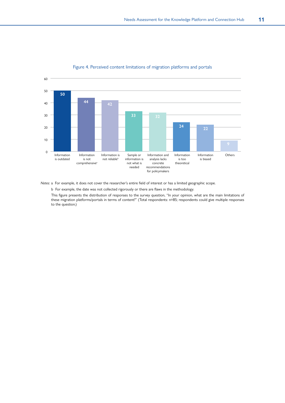<span id="page-20-0"></span>

#### Figure 4. Perceived content limitations of migration platforms and portals

*Notes:* a For example, it does not cover the researcher's entire field of interest or has a limited geographic scope.

b For example, the date was not collected rigorously or there are flaws in the methodology.

This figure presents the distribution of responses to the survey question, "In your opinion, what are the main limitations of these migration platforms/portals in terms of content?" (Total respondents: n=85; respondents could give multiple responses to the question.)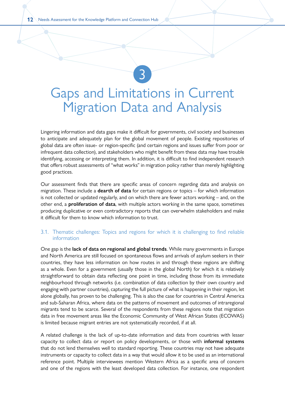## <span id="page-21-0"></span>Gaps and Limitations in Current Migration Data and Analysis

3

Lingering information and data gaps make it difficult for governments, civil society and businesses to anticipate and adequately plan for the global movement of people. Existing repositories of global data are often issue- or region-specific (and certain regions and issues suffer from poor or infrequent data collection), and stakeholders who might benefit from these data may have trouble identifying, accessing or interpreting them. In addition, it is difficult to find independent research that offers robust assessments of "what works" in migration policy rather than merely highlighting good practices.

Our assessment finds that there are specific areas of concern regarding data and analysis on migration. These include a **dearth of data** for certain regions or topics – for which information is not collected or updated regularly, and on which there are fewer actors working – and, on the other end, a **proliferation of data**, with multiple actors working in the same space, sometimes producing duplicative or even contradictory reports that can overwhelm stakeholders and make it difficult for them to know which information to trust.

#### 3.1. Thematic challenges: Topics and regions for which it is challenging to find reliable information

One gap is the **lack of data on regional and global trends**. While many governments in Europe and North America are still focused on spontaneous flows and arrivals of asylum seekers in their countries, they have less information on how routes in and through these regions are shifting as a whole. Even for a government (usually those in the global North) for which it is relatively straightforward to obtain data reflecting one point in time, including those from its immediate neighbourhood through networks (i.e. combination of data collection by their own country and engaging with partner countries), capturing the full picture of what is happening in their region, let alone globally, has proven to be challenging. This is also the case for countries in Central America and sub-Saharan Africa, where data on the patterns of movement and outcomes of intraregional migrants tend to be scarce. Several of the respondents from these regions note that migration data in free movement areas like the Economic Community of West African States (ECOWAS) is limited because migrant entries are not systematically recorded, if at all.

A related challenge is the lack of up-to-date information and data from countries with lesser capacity to collect data or report on policy developments, or those with **informal systems** that do not lend themselves well to standard reporting. These countries may not have adequate instruments or capacity to collect data in a way that would allow it to be used as an international reference point. Multiple interviewees mention Western Africa as a specific area of concern and one of the regions with the least developed data collection. For instance, one respondent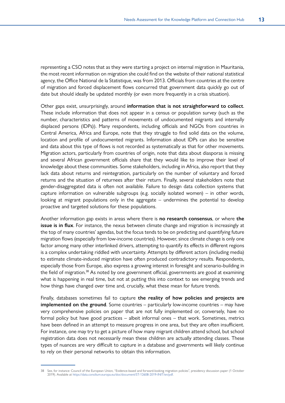representing a CSO notes that as they were starting a project on internal migration in Mauritania, the most recent information on migration she could find on the website of their national statistical agency, the Office National de la Statistique, was from 2013. Officials from countries at the centre of migration and forced displacement flows concurred that government data quickly go out of date but should ideally be updated monthly (or even more frequently in a crisis situation).

Other gaps exist, unsurprisingly, around **information that is not straightforward to collect**. These include information that does not appear in a census or population survey (such as the number, characteristics and patterns of movements of undocumented migrants and internally displaced persons (IDPs)). Many respondents, including officials and NGOs from countries in Central America, Africa and Europe, note that they struggle to find solid data on the volume, location and profile of undocumented migrants. Information about IDPs can also be sensitive and data about this type of flows is not recorded as systematically as that for other movements. Migration actors, particularly from countries of origin, note that data about diasporas is missing and several African government officials share that they would like to improve their level of knowledge about these communities. Some stakeholders, including in Africa, also report that they lack data about returns and reintegration, particularly on the number of voluntary and forced returns and the situation of returnees after their return. Finally, several stakeholders note that gender-disaggregated data is often not available. Failure to design data collection systems that capture information on vulnerable subgroups (e.g. socially isolated women) – in other words, looking at migrant populations only in the aggregate – undermines the potential to develop proactive and targeted solutions for these populations.

Another information gap exists in areas where there is **no research consensus**, or where **the issue is in flux**. For instance, the nexus between climate change and migration is increasingly at the top of many countries' agendas, but the focus tends to be on predicting and quantifying future migration flows (especially from low-income countries). However, since climate change is only one factor among many other interlinked drivers, attempting to quantify its effects in different regions is a complex undertaking riddled with uncertainty. Attempts by different actors (including media) to estimate climate-induced migration have often produced contradictory results. Respondents, especially those from Europe, also express a growing interest in foresight and scenario-building in the field of migration.<sup>38</sup> As noted by one government official, governments are good at examining what is happening in real time, but not at putting this into context to see emerging trends and how things have changed over time and, crucially, what these mean for future trends.

Finally, databases sometimes fail to capture **the reality of how policies and projects are implemented on the ground**. Some countries – particularly low-income countries – may have very comprehensive policies on paper that are not fully implemented or, conversely, have no formal policy but have good practices – albeit informal ones – that work. Sometimes, metrics have been defined in an attempt to measure progress in one area, but they are often insufficient. For instance, one may try to get a picture of how many migrant children attend school, but school registration data does not necessarily mean these children are actually attending classes. These types of nuances are very difficult to capture in a database and governments will likely continue to rely on their personal networks to obtain this information.

<sup>38</sup> See, for instance: Council of the European Union, "Evidence-based and forward-looking migration policies", presidency discussion paper (1 October 2019). Available at <https://data.consilium.europa.eu/doc/document/ST-12608-2019-INIT/en/pdf>.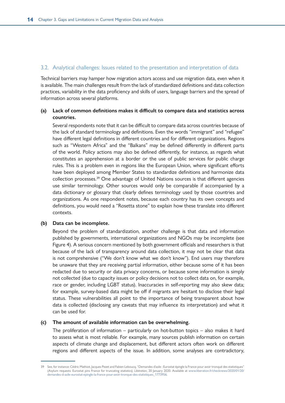#### <span id="page-23-0"></span>3.2. Analytical challenges: Issues related to the presentation and interpretation of data

Technical barriers may hamper how migration actors access and use migration data, even when it is available. The main challenges result from the lack of standardized definitions and data collection practices, variability in the data proficiency and skills of users, language barriers and the spread of information across several platforms.

#### **(a) Lack of common definitions makes it difficult to compare data and statistics across countries.**

Several respondents note that it can be difficult to compare data across countries because of the lack of standard terminology and definitions. Even the words "immigrant" and "refugee" have different legal definitions in different countries and for different organizations. Regions such as "Western Africa" and the "Balkans" may be defined differently in different parts of the world. Policy actions may also be defined differently, for instance, as regards what constitutes an apprehension at a border or the use of public services for public charge rules. This is a problem even in regions like the European Union, where significant efforts have been deployed among Member States to standardize definitions and harmonize data collection processes.39 One advantage of United Nations sources is that different agencies use similar terminology. Other sources would only be comparable if accompanied by a data dictionary or glossary that clearly defines terminology used by those countries and organizations. As one respondent notes, because each country has its own concepts and definitions, you would need a "Rosetta stone" to explain how these translate into different contexts.

#### **(b) Data can be incomplete.**

Beyond the problem of standardization, another challenge is that data and information published by governments, international organizations and NGOs may be incomplete (see Figure 4). A serious concern mentioned by both government officials and researchers is that because of the lack of transparency around data collection, it may not be clear that data is not comprehensive ("We don't know what we don't know"). End users may therefore be unaware that they are receiving partial information, either because some of it has been redacted due to security or data privacy concerns, or because some information is simply not collected (due to capacity issues or policy decisions not to collect data on, for example, race or gender, including LGBT status). Inaccuracies in self-reporting may also skew data; for example, survey-based data might be off if migrants are hesitant to disclose their legal status. These vulnerabilities all point to the importance of being transparent about how data is collected (disclosing any caveats that may influence its interpretation) and what it can be used for.

#### **(c) The amount of available information can be overwhelming.**

The proliferation of information – particularly on hot-button topics – also makes it hard to assess what is most reliable. For example, many sources publish information on certain aspects of climate change and displacement, but different actors often work on different regions and different aspects of the issue. In addition, some analyses are contradictory,

<sup>39</sup> See, for instance: Cédric Mathiot, Jacques Pezet and Fabien Leboucq, "Demandes d'asile : Eurostat épingle la France pour avoir tronqué des statistiques" (Asylum requests: Eurostat pins France for truncating statistics), *Libération*, 20 January 2020. Available at [www.liberation.fr/checknews/2020/01/20/](http://www.liberation.fr/checknews/2020/01/20/demandes-d-asile-eurostat-epingle-la-france-pour-avoir-tronque-des-statistiques_1773956) [demandes-d-asile-eurostat-epingle-la-france-pour-avoir-tronque-des-statistiques\\_1773956](http://www.liberation.fr/checknews/2020/01/20/demandes-d-asile-eurostat-epingle-la-france-pour-avoir-tronque-des-statistiques_1773956).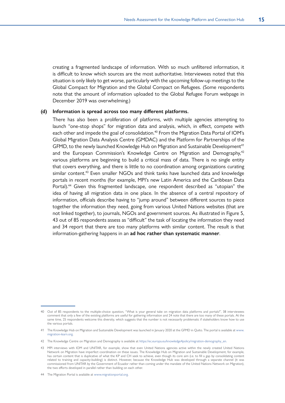creating a fragmented landscape of information. With so much unfiltered information, it is difficult to know which sources are the most authoritative. Interviewees noted that this situation is only likely to get worse, particularly with the upcoming follow-up meetings to the Global Compact for Migration and the Global Compact on Refugees. (Some respondents note that the amount of information uploaded to the Global Refugee Forum webpage in December 2019 was overwhelming.)

#### **(d) Information is spread across too many different platforms.**

There has also been a proliferation of platforms, with multiple agencies attempting to launch "one-stop shops" for migration data and analysis, which, in effect, compete with each other and impede the goal of consolidation.<sup>40</sup> From the Migration Data Portal of IOM's Global Migration Data Analysis Centre (GMDAC) and the Platform for Partnerships of the GFMD, to the newly launched Knowledge Hub on Migration and Sustainable Development<sup>41</sup> and the European Commission's Knowledge Centre on Migration and Demography,<sup>42</sup> various platforms are beginning to build a critical mass of data. There is no single entity that covers everything, and there is little to no coordination among organizations curating similar content.<sup>43</sup> Even smaller NGOs and think tanks have launched data and knowledge portals in recent months (for example, MPI's new Latin America and the Caribbean Data Portal).<sup>44</sup> Given this fragmented landscape, one respondent described as "utopian" the idea of having all migration data in one place. In the absence of a central repository of information, officials describe having to "jump around" between different sources to piece together the information they need, going from various United Nations websites (that are not linked together), to journals, NGOs and government sources. As illustrated in Figure 5, 43 out of 85 respondents assess as "difficult" the task of locating the information they need and 34 report that there are too many platforms with similar content. The result is that information-gathering happens in an **ad hoc rather than systematic manner**.

<sup>40</sup> Out of 85 respondents to the multiple-choice question, "What is your general take on migration data platforms and portals?", 38 interviewees comment that only a few of the existing platforms are useful for gathering information and 24 note that there are too many of these portals. At the same time, 25 respondents welcome this diversity, which suggests that the number is not necessarily problematic if stakeholders know how to use the various portals.

<sup>41</sup> The Knowledge Hub on Migration and Sustainable Development was launched in January 2020 at the GFMD in Quito. The portal is available at [www.](http://www.migration-learn.org) [migration-learn.org](http://www.migration-learn.org).

<sup>42</sup> The Knowledge Centre on Migration and Demography is available at [https://ec.europa.eu/knowledge4policy/migration-demography\\_en.](https://ec.europa.eu/knowledge4policy/migration-demography_en)

<sup>43</sup> MPI interviews with IOM and UNITAR, for example, show that even United Nations agencies active within the newly created United Nations Network on Migration have imperfect coordination on these issues. The Knowledge Hub on Migration and Sustainable Development, for example, has certain content that is duplicative of what the KP and CH seek to achieve, even though its core aim (i.e. to fill a gap by consolidating content related to training and capacity-building) is distinct. However, because the Knowledge Hub was developed through a separate channel (it was commissioned from UNITAR by the Government of Ecuador rather than coming under the mandate of the United Nations Network on Migration), the two efforts developed in parallel rather than building on each other.

<sup>44</sup> The Migration Portal is available at [www.migrationportal.org](http://www.migrationportal.org).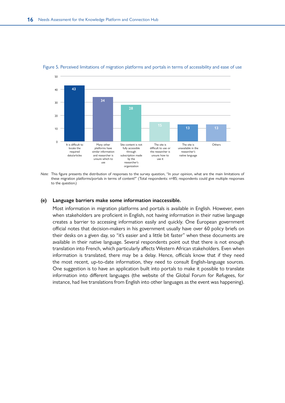

<span id="page-25-0"></span>Figure 5. Perceived limitations of migration platforms and portals in terms of accessibility and ease of use

*Note:* This figure presents the distribution of responses to the survey question, "In your opinion, what are the main limitations of these migration platforms/portals in terms of content?" (Total respondents: n=85; respondents could give multiple responses to the question.)

#### **(e) Language barriers make some information inaccessible.**

Most information in migration platforms and portals is available in English. However, even when stakeholders are proficient in English, not having information in their native language creates a barrier to accessing information easily and quickly. One European government official notes that decision-makers in his government usually have over 60 policy briefs on their desks on a given day, so "it's easier and a little bit faster" when these documents are available in their native language. Several respondents point out that there is not enough translation into French, which particularly affects Western African stakeholders. Even when information is translated, there may be a delay. Hence, officials know that if they need the most recent, up-to-date information, they need to consult English-language sources. One suggestion is to have an application built into portals to make it possible to translate information into different languages (the website of the Global Forum for Refugees, for instance, had live translations from English into other languages as the event was happening).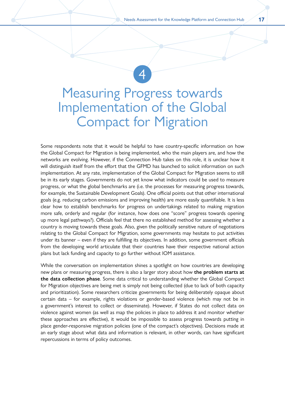### <span id="page-26-0"></span>Measuring Progress towards Implementation of the Global Compact for Migration

4

Some respondents note that it would be helpful to have country-specific information on how the Global Compact for Migration is being implemented, who the main players are, and how the networks are evolving. However, if the Connection Hub takes on this role, it is unclear how it will distinguish itself from the effort that the GFMD has launched to solicit information on such implementation. At any rate, implementation of the Global Compact for Migration seems to still be in its early stages. Governments do not yet know what indicators could be used to measure progress, or what the global benchmarks are (i.e. the processes for measuring progress towards, for example, the Sustainable Development Goals). One official points out that other international goals (e.g. reducing carbon emissions and improving health) are more easily quantifiable. It is less clear how to establish benchmarks for progress on undertakings related to making migration more safe, orderly and regular (for instance, how does one "score" progress towards opening up more legal pathways?). Officials feel that there no established method for assessing whether a country is moving towards these goals. Also, given the politically sensitive nature of negotiations relating to the Global Compact for Migration, some governments may hesitate to put activities under its banner – even if they are fulfilling its objectives. In addition, some government officials from the developing world articulate that their countries have their respective national action plans but lack funding and capacity to go further without IOM assistance.

While the conversation on implementation shines a spotlight on how countries are developing new plans or measuring progress, there is also a larger story about how **the problem starts at the data collection phase**. Some data critical to understanding whether the Global Compact for Migration objectives are being met is simply not being collected (due to lack of both capacity and prioritization). Some researchers criticize governments for being deliberately opaque about certain data – for example, rights violations or gender-based violence (which may not be in a government's interest to collect or disseminate). However, if States do not collect data on violence against women (as well as map the policies in place to address it and monitor whether these approaches are effective), it would be impossible to assess progress towards putting in place gender-responsive migration policies (one of the compact's objectives). Decisions made at an early stage about what data and information is relevant, in other words, can have significant repercussions in terms of policy outcomes.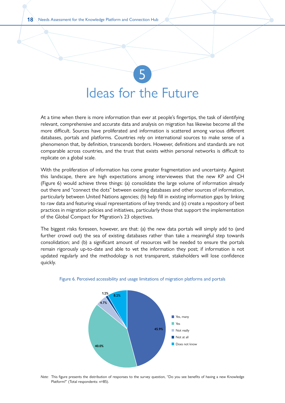## <span id="page-27-0"></span>5 Ideas for the Future

At a time when there is more information than ever at people's fingertips, the task of identifying relevant, comprehensive and accurate data and analysis on migration has likewise become all the more difficult. Sources have proliferated and information is scattered among various different databases, portals and platforms. Countries rely on international sources to make sense of a phenomenon that, by definition, transcends borders. However, definitions and standards are not comparable across countries, and the trust that exists within personal networks is difficult to replicate on a global scale.

With the proliferation of information has come greater fragmentation and uncertainty. Against this landscape, there are high expectations among interviewees that the new KP and CH (Figure 6) would achieve three things: (a) consolidate the large volume of information already out there and "connect the dots" between existing databases and other sources of information, particularly between United Nations agencies; (b) help fill in existing information gaps by linking to raw data and featuring visual representations of key trends; and (c) create a repository of best practices in migration policies and initiatives, particularly those that support the implementation of the Global Compact for Migration's 23 objectives.

The biggest risks foreseen, however, are that: (a) the new data portals will simply add to (and further crowd out) the sea of existing databases rather than take a meaningful step towards consolidation; and (b) a significant amount of resources will be needed to ensure the portals remain rigorously up-to-date and able to vet the information they post; if information is not updated regularly and the methodology is not transparent, stakeholders will lose confidence quickly.





*Note:* This figure presents the distribution of responses to the survey question, "Do you see benefits of having a new Knowledge Platform?" (Total respondents: n=85).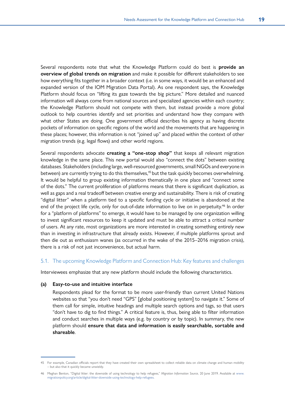<span id="page-28-0"></span>Several respondents note that what the Knowledge Platform could do best is **provide an overview of global trends on migration** and make it possible for different stakeholders to see how everything fits together in a broader context (i.e. in some ways, it would be an enhanced and expanded version of the IOM Migration Data Portal). As one respondent says, the Knowledge Platform should focus on "lifting its gaze towards the big picture." More detailed and nuanced information will always come from national sources and specialized agencies within each country; the Knowledge Platform should not compete with them, but instead provide a more global outlook to help countries identify and set priorities and understand how they compare with what other States are doing. One government official describes his agency as having discrete pockets of information on specific regions of the world and the movements that are happening in these places; however, this information is not "joined up" and placed within the context of other migration trends (e.g. legal flows) and other world regions.

Several respondents advocate **creating a "one-stop shop"** that keeps all relevant migration knowledge in the same place. This new portal would also "connect the dots" between existing databases. Stakeholders (including large, well-resourced governments, small NGOs and everyone in between) are currently trying to do this themselves,<sup>45</sup> but the task quickly becomes overwhelming. It would be helpful to group existing information thematically in one place and "connect some of the dots." The current proliferation of platforms means that there is significant duplication, as well as gaps and a real tradeoff between creative energy and sustainability. There is risk of creating "digital litter" when a platform tied to a specific funding cycle or initiative is abandoned at the end of the project life cycle, only for out-of-date information to live on in perpetuity.<sup>46</sup> In order for a "platform of platforms" to emerge, it would have to be managed by one organization willing to invest significant resources to keep it updated and must be able to attract a critical number of users. At any rate, most organizations are more interested in creating something entirely new than in investing in infrastructure that already exists. However, if multiple platforms sprout and then die out as enthusiasm wanes (as occurred in the wake of the 2015–2016 migration crisis), there is a risk of not just inconvenience, but actual harm.

#### 5.1. The upcoming Knowledge Platform and Connection Hub: Key features and challenges

Interviewees emphasize that any new platform should include the following characteristics.

#### **(a) Easy-to-use and intuitive interface**

Respondents plead for the format to be more user-friendly than current United Nations websites so that "you don't need "GPS" [global positioning system] to navigate it." Some of them call for simple, intuitive headings and multiple search options and tags, so that users "don't have to dig to find things." A critical feature is, thus, being able to filter information and conduct searches in multiple ways (e.g. by country or by topic). In summary, the new platform should **ensure that data and information is easily searchable, sortable and shareable**.

<sup>45</sup> For example, Canadian officials report that they have created their own spreadsheet to collect reliable data on climate change and human mobility – but also that it quickly became unwieldy.

<sup>46</sup> Meghan Benton, "Digital litter: the downside of using technology to help refugees," *Migration Information Source*, 20 June 2019. [Available at www.](http://www.migrationpolicy.org/article/digital-litter-downside-using-technology-help-refugees) [migrationpolicy.org/article/digital-litter-downside-using-technology-help-refugees](http://www.migrationpolicy.org/article/digital-litter-downside-using-technology-help-refugees).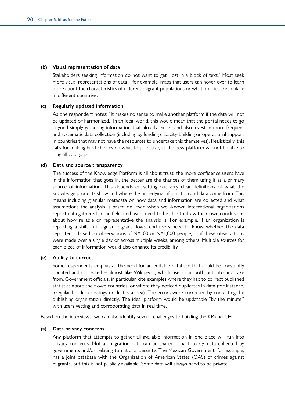#### **(b) Visual representation of data**

Stakeholders seeking information do not want to get "lost in a block of text." Most seek more visual representations of data – for example, maps that users can hover over to learn more about the characteristics of different migrant populations or what policies are in place in different countries.

#### **(c) Regularly updated information**

As one respondent notes: "It makes no sense to make another platform if the data will not be updated or harmonized." In an ideal world, this would mean that the portal needs to go beyond simply gathering information that already exists, and also invest in more frequent and systematic data collection (including by funding capacity-building or operational support in countries that may not have the resources to undertake this themselves). Realistically, this calls for making hard choices on what to prioritize, as the new platform will not be able to plug all data gaps.

#### **(d) Data and source transparency**

The success of the Knowledge Platform is all about trust: the more confidence users have in the information that goes in, the better are the chances of them using it as a primary source of information. This depends on setting out very clear definitions of what the knowledge products show and where the underlying information and data come from. This means including granular metadata on how data and information are collected and what assumptions the analysis is based on. Even when well-known international organizations report data gathered in the field, end users need to be able to draw their own conclusions about how reliable or representative the analysis is. For example, if an organization is reporting a shift in irregular migrant flows, end users need to know whether the data reported is based on observations of N=100 or N=1,000 people, or if these observations were made over a single day or across multiple weeks, among others. Multiple sources for each piece of information would also enhance its credibility.

#### **(e) Ability to correct**

Some respondents emphasize the need for an editable database that could be constantly updated and corrected – almost like Wikipedia, which users can both put into and take from. Government officials, in particular, cite examples where they had to correct published statistics about their own countries, or where they noticed duplicates in data (for instance, irregular border crossings or deaths at sea). The errors were corrected by contacting the publishing organization directly. The ideal platform would be updatable "by the minute," with users vetting and corroborating data in real time.

Based on the interviews, we can also identify several challenges to building the KP and CH.

#### **(a) Data privacy concerns**

Any platform that attempts to gather all available information in one place will run into privacy concerns. Not all migration data can be shared – particularly, data collected by governments and/or relating to national security. The Mexican Government, for example, has a joint database with the Organization of American States (OAS) of crimes against migrants, but this is not publicly available. Some data will always need to be private.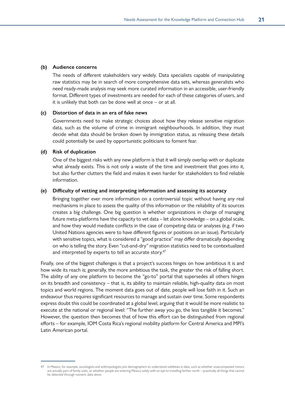#### **(b) Audience concerns**

The needs of different stakeholders vary widely. Data specialists capable of manipulating raw statistics may be in search of more comprehensive data sets, whereas generalists who need ready-made analysis may seek more curated information in an accessible, user-friendly format. Different types of investments are needed for each of these categories of users, and it is unlikely that both can be done well at once – or at all.

#### **(c) Distortion of data in an era of fake news**

Governments need to make strategic choices about how they release sensitive migration data, such as the volume of crime in immigrant neighbourhoods. In addition, they must decide what data should be broken down by immigration status, as releasing these details could potentially be used by opportunistic politicians to foment fear.

#### **(d) Risk of duplication**

One of the biggest risks with any new platform is that it will simply overlap with or duplicate what already exists. This is not only a waste of the time and investment that goes into it, but also further clutters the field and makes it even harder for stakeholders to find reliable information.

#### **(e) Difficulty of vetting and interpreting information and assessing its accuracy**

Bringing together ever more information on a controversial topic without having any real mechanisms in place to assess the quality of this information or the reliability of its sources creates a big challenge. One big question is whether organizations in charge of managing future meta-platforms have the capacity to vet data – let alone knowledge – on a global scale, and how they would mediate conflicts in the case of competing data or analyses (e.g. if two United Nations agencies were to have different figures or positions on an issue). Particularly with sensitive topics, what is considered a "good practice" may differ dramatically depending on who is telling the story. Even "cut-and-dry" migration statistics need to be contextualized and interpreted by experts to tell an accurate story.<sup>47</sup>

Finally, one of the biggest challenges is that a project's success hinges on how ambitious it is and how wide its reach is; generally, the more ambitious the task, the greater the risk of falling short. The ability of any one platform to become the "go-to" portal that supersedes all others hinges on its breadth and consistency – that is, its ability to maintain reliable, high-quality data on most topics and world regions. The moment data goes out of date, people will lose faith in it. Such an endeavour thus requires significant resources to manage and sustain over time. Some respondents express doubt this could be coordinated at a global level, arguing that it would be more realistic to execute at the national or regional level: "The further away you go, the less tangible it becomes." However, the question then becomes that of how this effort can be distinguished from regional efforts – for example, IOM Costa Rica's regional mobility platform for Central America and MPI's Latin American portal.

<sup>47</sup> In Mexico, for example, sociologists and anthropologists join demographers to understand subtleties in data, such as whether unaccompanied minors are actually part of family units, or whether people are entering Mexico solely with an eye to travelling farther north – practically all things that cannot be detected through numeric data alone.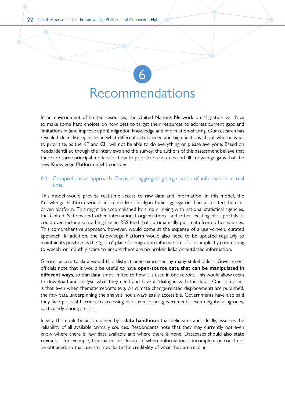### Recommendations

6

<span id="page-31-0"></span>In an environment of limited resources, the United Nations Network on Migration will have to make some hard choices on how best to target their resources to address current gaps and limitations in (and improve upon) migration knowledge and information-sharing. Our research has revealed clear discrepancies in what different actors need and big questions about who or what to prioritize, as the KP and CH will not be able to do everything or please everyone. Based on needs identified though the interviews and the survey, the authors of this assessment believe that there are three principal models for how to prioritize resources and fill knowledge gaps that the new Knowledge Platform might consider.

#### 6.1. Comprehensive approach: Focus on aggregating large pools of information in real time

This model would provide real-time access to raw data and information; in this model, the Knowledge Platform would act more like an algorithmic aggregator than a curated, humandriven platform. This might be accomplished by simply linking with national statistical agencies, the United Nations and other international organizations, and other existing data portals. It could even include something like an RSS feed that automatically pulls data from other sources. This comprehensive approach, however, would come at the expense of a user-driven, curated approach. In addition, the Knowledge Platform would also need to be updated regularly to maintain its position as the "go-to" place for migration information – for example, by committing to weekly or monthly scans to ensure there are no broken links or outdated information.

Greater access to data would fill a distinct need expressed by many stakeholders. Government officials note that it would be useful to have **open-source data that can be manipulated in different ways**, so that data is not limited to how it is used in one report. This would allow users to download and analyse what they need and have a "dialogue with the data". One complaint is that even when thematic reports (e.g. on climate change-related displacement) are published, the raw data underpinning the analysis not always easily accessible. Governments have also said they face political barriers to accessing data from other governments, even neighbouring ones, particularly during a crisis.

Ideally, this could be accompanied by a **data handbook** that delineates and, ideally, assesses the reliability of all available primary sources. Respondents note that they may currently not even know where there is raw data available and where there is none. Databases should also state **caveats** – for example, transparent disclosure of where information is incomplete or could not be obtained, so that users can evaluate the credibility of what they are reading.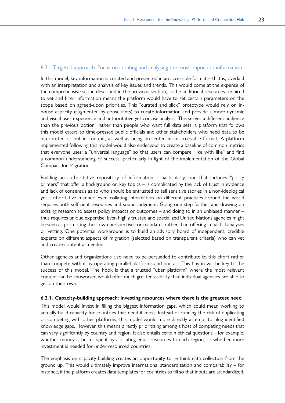#### <span id="page-32-0"></span>6.2. Targeted approach: Focus on curating and analysing the most important information

In this model, key information is curated and presented in an accessible format – that is, overlaid with an interpretation and analysis of key issues and trends. This would come at the expense of the comprehensive scope described in the previous section, as the additional resources required to vet and filter information means the platform would have to set certain parameters on the scope based on agreed-upon priorities. This "curated and slick" prototype would rely on inhouse capacity (augmented by consultants) to curate information and provide a more dynamic and visual user experience and authoritative yet concise analysis. This serves a different audience than the previous option; rather than people who want full data sets, a platform that follows this model caters to time-pressed public officials and other stakeholders who need data to be interpreted or put in context, as well as being presented in an accessible format. A platform implemented following this model would also endeavour to create a baseline of common metrics that everyone uses; a "universal language" so that users can compare "like with like" and find a common understanding of success, particularly in light of the implementation of the Global Compact for Migration.

Building an authoritative repository of information – particularly, one that includes "policy primers" that offer a background on key topics – is complicated by the lack of trust in evidence and lack of consensus as to who should be entrusted to tell sensitive stories in a non-ideological yet authoritative manner. Even collating information on different practices around the world requires both sufficient resources and sound judgment. Going one step further and drawing on existing research to assess policy impacts or outcomes – and doing so in an unbiased manner – thus requires unique expertise. Even highly trusted and specialized United Nations agencies might be seen as promoting their own perspectives or mandates rather than offering impartial analyses or vetting. One potential workaround is to build an advisory board of independent, credible experts on different aspects of migration (selected based on transparent criteria) who can vet and create content as needed.

Other agencies and organizations also need to be persuaded to contribute to this effort rather than compete with it by operating parallel platforms and portals. This buy-in will be key to the success of this model. The hook is that a trusted "uber platform" where the most relevant content can be showcased would offer much greater visibility than individual agencies are able to get on their own.

#### **6.2.1. Capacity-building approach: Investing resources where there is the greatest need**

This model would invest in filling the biggest information gaps, which could mean working to actually build capacity for countries that need it most. Instead of running the risk of duplicating or competing with other platforms, this model would more directly attempt to plug identified knowledge gaps. However, this means directly prioritizing among a host of competing needs that can vary significantly by country and region. It also entails certain ethical questions – for example, whether money is better spent by allocating equal resources to each region, or whether more investment is needed for under-resourced countries.

The emphasis on capacity-building creates an opportunity to re-think data collection from the ground up. This would ultimately improve international standardization and comparability – for instance, if the platform creates data templates for countries to fill so that inputs are standardized.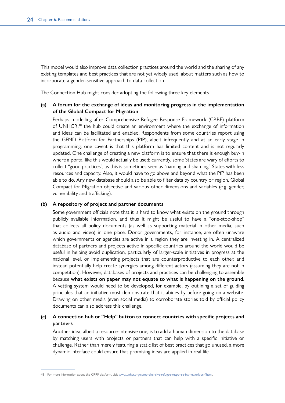This model would also improve data collection practices around the world and the sharing of any existing templates and best practices that are not yet widely used, about matters such as how to incorporate a gender-sensitive approach to data collection.

The Connection Hub might consider adopting the following three key elements.

#### **(a) A forum for the exchange of ideas and monitoring progress in the implementation of the Global Compact for Migration**

Perhaps modelling after Comprehensive Refugee Response Framework (CRRF) platform of UNHCR,<sup>48</sup> the hub could create an environment where the exchange of information and ideas can be facilitated and enabled. Respondents from some countries report using the GFMD Platform for Partnerships (PfP), albeit infrequently and at an early stage in programming; one caveat is that this platform has limited content and is not regularly updated. One challenge of creating a new platform is to ensure that there is enough buy-in where a portal like this would actually be used; currently, some States are wary of efforts to collect "good practices", as this is sometimes seen as "naming and shaming" States with less resources and capacity. Also, it would have to go above and beyond what the PfP has been able to do. Any new database should also be able to filter data by country or region, Global Compact for Migration objective and various other dimensions and variables (e.g. gender, vulnerability and trafficking).

#### **(b) A repository of project and partner documents**

Some government officials note that it is hard to know what exists on the ground through publicly available information, and thus it might be useful to have a "one-stop-shop" that collects all policy documents (as well as supporting material in other media, such as audio and video) in one place. Donor governments, for instance, are often unaware which governments or agencies are active in a region they are investing in. A centralized database of partners and projects active in specific countries around the world would be useful in helping avoid duplication, particularly of larger-scale initiatives in progress at the national level, or implementing projects that are counterproductive to each other, and instead potentially help create synergies among different actors (assuming they are not in competition). However, databases of projects and practices can be challenging to assemble because **what exists on paper may not equate to what is happening on the ground**. A vetting system would need to be developed, for example, by outlining a set of guiding principles that an initiative must demonstrate that it abides by before going on a website. Drawing on other media (even social media) to corroborate stories told by official policy documents can also address this challenge.

#### **(c) A connection hub or "Help" button to connect countries with specific projects and partners**

Another idea, albeit a resource-intensive one, is to add a human dimension to the database by matching users with projects or partners that can help with a specific initiative or challenge. Rather than merely featuring a static list of best practices that go unused, a more dynamic interface could ensure that promising ideas are applied in real life.

<sup>48</sup> For more information about the CRRF platform, visit [www.unhcr.org/comprehensive-refugee-response-framework-crrf.html](http://www.unhcr.org/comprehensive-refugee-response-framework-crrf.html).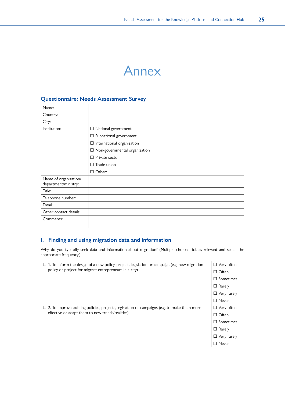### Annex

#### <span id="page-34-0"></span>**Questionnaire: Needs Assessment Survey**

| $\Box$ National government              |
|-----------------------------------------|
| $\Box$ Subnational government           |
| $\Box$ International organization       |
| $\square$ Non-governmental organization |
| $\Box$ Private sector                   |
| $\Box$ Trade union                      |
| $\Box$ Other:                           |
|                                         |
|                                         |
|                                         |
|                                         |
|                                         |
|                                         |
|                                         |

#### **I. Finding and using migration data and information**

Why do you typically seek data and information about migration? (Multiple choice: Tick as relevant and select the appropriate frequency.)

| $\Box$ 1. To inform the design of a new policy, project, legislation or campaign (e.g. new migration | $\Box$ Very often   |
|------------------------------------------------------------------------------------------------------|---------------------|
| policy or project for migrant entrepreneurs in a city)                                               | $\Box$ Often        |
|                                                                                                      | $\Box$ Sometimes    |
|                                                                                                      | $\Box$ Rarely       |
|                                                                                                      | $\Box$ Very rarely  |
|                                                                                                      | $\Box$ Never        |
| $\Box$ 2. To improve existing policies, projects, legislation or campaigns (e.g. to make them more   | $\Box$ Very often   |
| effective or adapt them to new trends/realities)                                                     | $\Box$ Often        |
|                                                                                                      | $\square$ Sometimes |
|                                                                                                      | $\Box$ Rarely       |
|                                                                                                      | $\Box$ Very rarely  |
|                                                                                                      | $\Box$ Never        |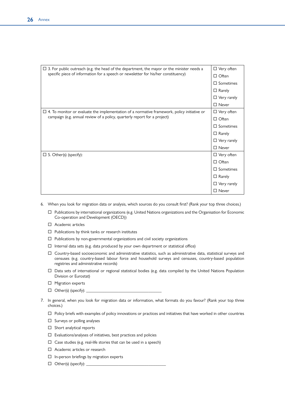| $\Box$ 3. For public outreach (e.g. the head of the department, the mayor or the minister needs a                                                                               | $\Box$ Very often   |
|---------------------------------------------------------------------------------------------------------------------------------------------------------------------------------|---------------------|
| specific piece of information for a speech or newsletter for his/her constituency)                                                                                              | $\Box$ Often        |
|                                                                                                                                                                                 | $\Box$ Sometimes    |
|                                                                                                                                                                                 | $\Box$ Rarely       |
|                                                                                                                                                                                 | $\Box$ Very rarely  |
|                                                                                                                                                                                 | $\square$ Never     |
| $\Box$ 4. To monitor or evaluate the implementation of a normative framework, policy initiative or<br>campaign (e.g. annual review of a policy, quarterly report for a project) | $\Box$ Very often   |
|                                                                                                                                                                                 | $\Box$ Often        |
|                                                                                                                                                                                 | $\Box$ Sometimes    |
|                                                                                                                                                                                 | $\Box$ Rarely       |
|                                                                                                                                                                                 | $\Box$ Very rarely  |
|                                                                                                                                                                                 | $\Box$ Never        |
| $\Box$ 5. Other(s) (specify):                                                                                                                                                   | $\Box$ Very often   |
|                                                                                                                                                                                 | $\Box$ Often        |
|                                                                                                                                                                                 | $\square$ Sometimes |
|                                                                                                                                                                                 | $\Box$ Rarely       |
|                                                                                                                                                                                 | $\Box$ Very rarely  |
|                                                                                                                                                                                 | $\square$ Never     |

- 6. When you look for migration data or analysis, which sources do you consult first? (Rank your top three choices.)
	- $\Box$  Publications by international organizations (e.g. United Nations organizations and the Organisation for Economic Co-operation and Development (OECD))
	- □ Academic articles
	- $\Box$  Publications by think tanks or research institutes
	- $\Box$  Publications by non-governmental organizations and civil society organizations
	- $\Box$  Internal data sets (e.g. data produced by your own department or statistical office)
	- Country-based socioeconomic and administrative statistics, such as administrative data, statistical surveys and censuses (e.g. country-based labour force and household surveys and censuses, country-based population registries and administrative records)
	- Data sets of international or regional statistical bodies (e.g. data compiled by the United Nations Population Division or Eurostat)
	- $\Box$  Migration experts
	- $\Box$  Other(s) (specify):
- 7. In general, when you look for migration data or information, what formats do you favour? (Rank your top three choices.)
	- $\Box$  Policy briefs with examples of policy innovations or practices and initiatives that have worked in other countries
	- $\square$  Surveys or polling analyses
	- $\Box$  Short analytical reports
	- $\square$  Evaluations/analyses of initiatives, best practices and policies
	- $\square$  Case studies (e.g. real-life stories that can be used in a speech)
	- □ Academic articles or research
	- $\Box$  In-person briefings by migration experts
	- $\Box$  Other(s) (specify):  $\Box$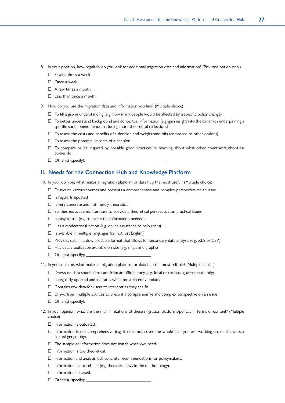- 8. In your position, how regularly do you look for additional migration data and information? (Pick one option only.)
	- $\Box$  Several times a week
	- $\square$  Once a week
	- $\Pi$  A few times a month
	- $\square$  Less than once a month
- 9. How do you use the migration data and information you find? (Multiple choice)
	- $\Box$  To fill a gap in understanding (e.g. how many people would be affected by a specific policy change)
	- $\Box$  To better understand background and contextual information (e.g. gain insight into the dynamics underpinning a specific social phenomenon, including more theoretical reflections)
	- $\Box$  To assess the costs and benefits of a decision and weigh trade-offs (compared to other options)
	- $\Box$  To assess the potential impacts of a decision
	- $\Box$  To compare or be inspired by possible good practices by learning about what other countries/authorities/ bodies do
	- $\Box$  Other(s) (specify):

#### **II. Needs for the Connection Hub and Knowledge Platform**

- 10. In your opinion, what makes a migration platform or data hub the most useful? (Multiple choice)
	- $\Box$  Draws on various sources and presents a comprehensive and complex perspective on an issue
	- $\Box$  Is regularly updated
	- $\Box$  Is very concrete and not merely theoretical
	- $\Box$  Synthesizes academic literature to provide a theoretical perspective on practical issues
	- $\square$  Is easy to use (e.g. to locate the information needed)
	- $\Box$  Has a moderator function (e.g. online assistance to help users)
	- $\square$  Is available in multiple languages (i.e. not just English)
	- $\Box$  Provides data in a downloadable format that allows for secondary data analysis (e.g. XLS or CSV)
	- $\Box$  Has data visualization available on-site (e.g. maps and graphs)
	- $\Box$  Other(s) (specify):
- 11. In your opinion, what makes a migration platform or data hub the most reliable? (Multiple choice)
	- $\Box$  Draws on data sources that are from an official body (e.g. local or national government body)
	- $\square$  Is regularly updated and indicates when most recently updated
	- $\square$  Contains raw data for users to interpret as they see fit
	- $\square$  Draws from multiple sources to present a comprehensive and complex perspective on an issue
	- $\Box$  Other(s) (specify):
- 12. In your opinion, what are the main limitations of these migration platforms/portals in terms of content? (Multiple choice)
	- $\Box$  Information is outdated.
	- $\Box$  Information is not comprehensive (e.g. it does not cover the whole field you are working on, or it covers a limited geography).
	- $\Box$  The sample or information does not match what I/we need.
	- $\Box$  Information is too theoretical.
	- $\Box$  Information and analysis lack concrete recommendations for policymakers.
	- $\Box$  Information is not reliable (e.g. there are flaws in the methodology).
	- $\Box$  Information is biased.
	- $\Box$  Other(s) (specify):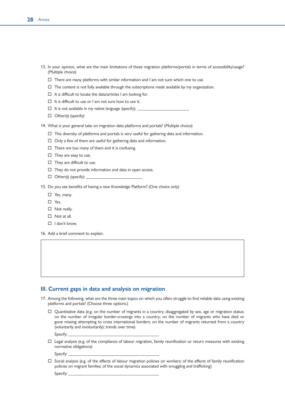- 13. In your opinion, what are the main limitations of these migration platforms/portals in terms of accessibility/usage? (Multiple choice)
	- $\Box$  There are many platforms with similar information and I am not sure which one to use.
	- $\Box$  The content is not fully available through the subscriptions made available by my organization.
	- $\Box$  It is difficult to locate the data/articles I am looking for.
	- $\Box$  It is difficult to use or I am not sure how to use it.
	- $\Box$  It is not available in my native language (specify):
	- $\Box$  Other(s) (specify):

14. What is your general take on migration data platforms and portals? (Multiple choice)

- $\Box$  This diversity of platforms and portals is very useful for gathering data and information.
- $\Box$  Only a few of them are useful for gathering data and information.
- $\Box$  There are too many of them and it is confusing.
- $\Box$  They are easy to use.
- $\Box$  They are difficult to use.
- $\Box$  They do not provide information and data in open access.
- $\Box$  Other(s) (specify):

15. Do you see benefits of having a new Knowledge Platform? (One choice only)

- □ Yes, many.
- □ Yes.
- □ Not really.
- $\Box$  Not at all.
- $\Box$  I don't know.
- 16. Add a brief comment to explain.

#### **III. Current gaps in data and analysis on migration**

- 17. Among the following, what are the three main topics on which you often struggle to find reliable data using existing platforms and portals? (Choose three options.)
	- $\Box$  Quantitative data (e.g. on the number of migrants in a country, disaggregated by sex, age or migration status; on the number of irregular border-crossings into a country; on the number of migrants who have died or gone missing attempting to cross international borders; on the number of migrants returned from a country (voluntarily and involuntarily); trends over time)

Specify:

 $\Box$  Legal analysis (e.g. of the compliance of labour migration, family reunification or return measures with existing normative obligations)

Specify:

 $\Box$  Social analysis (e.g. of the effects of labour migration policies on workers; of the effects of family reunification policies on migrant families; of the social dynamics associated with smuggling and trafficking)

Specify: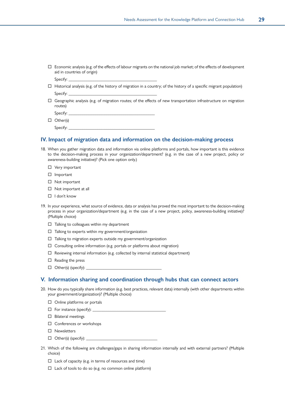$\square$  Economic analysis (e.g. of the effects of labour migrants on the national job market; of the effects of development aid in countries of origin)

Specify:

- $\Box$  Historical analysis (e.g. of the history of migration in a country; of the history of a specific migrant population) Specify:
- $\Box$  Geographic analysis (e.g. of migration routes; of the effects of new transportation infrastructure on migration routes)

Specify:

 $\Box$  Other(s)

Specify:

#### **IV. Impact of migration data and information on the decision-making process**

- 18. When you gather migration data and information via online platforms and portals, how important is this evidence to the decision-making process in your organization/department? (e.g. in the case of a new project, policy or awareness-building initiative)? (Pick one option only.)
	- □ Very important
	- Important
	- □ Not important
	- □ Not important at all
	- $\Box$  I don't know
- 19. In your experience, what source of evidence, data or analysis has proved the most important to the decision-making process in your organization/department (e.g. in the case of a new project, policy, awareness-building initiative)? (Multiple choice)
	- $\Box$  Talking to colleagues within my department
	- $\Box$  Talking to experts within my government/organization
	- $\Box$  Talking to migration experts outside my government/organization
	- $\square$  Consulting online information (e.g. portals or platforms about migration)
	- $\square$  Reviewing internal information (e.g. collected by internal statistical department)
	- $\Box$  Reading the press
	- $\Box$  Other(s) (specify):  $\Box$

#### **V. Information sharing and coordination through hubs that can connect actors**

- 20. How do you typically share information (e.g. best practices, relevant data) internally (with other departments within your government/organization)? (Multiple choice)
	- $\Box$  Online platforms or portals
	- $\Box$  For instance (specify):
	- $\square$  Bilateral meetings
	- □ Conferences or workshops
	- □ Newsletters
	- $\Box$  Other(s) (specify):
- 21. Which of the following are challenges/gaps in sharing information internally and with external partners? (Multiple choice)
	- $\square$  Lack of capacity (e.g. in terms of resources and time)
	- $\square$  Lack of tools to do so (e.g. no common online platform)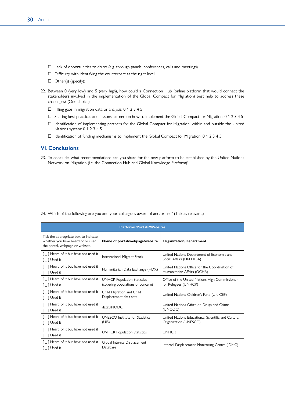- $\Box$  Lack of opportunities to do so (e.g. through panels, conferences, calls and meetings)
- $\square$  Difficulty with identifying the counterpart at the right level
- $\Box$  Other(s) (specify):
- 22. Between 0 (very low) and 5 (very high), how could a Connection Hub (online platform that would connect the stakeholders involved in the implementation of the Global Compact for Migration) best help to address these challenges? (One choice)
	- $\Box$  Filling gaps in migration data or analysis: 0 1 2 3 4 5
	- $\square$  Sharing best practices and lessons learned on how to implement the Global Compact for Migration: 0 1 2 3 4 5
	- Identification of implementing partners for the Global Compact for Migration, within and outside the United Nations system: 0 1 2 3 4 5
	- Identification of funding mechanisms to implement the Global Compact for Migration: 0 1 2 3 4 5

#### **VI. Conclusions**

23. To conclude, what recommendations can you share for the new platform to be established by the United Nations Network on Migration (i.e. the Connection Hub and Global Knowledge Platform)?

| <b>Platforms/Portals/Websites</b>                                                                            |                                                                         |                                                                              |
|--------------------------------------------------------------------------------------------------------------|-------------------------------------------------------------------------|------------------------------------------------------------------------------|
| Tick the appropriate box to indicate<br>whether you have heard of or used<br>the portal, webpage or website. | Name of portal/webpage/website                                          | Organization/Department                                                      |
| [ ] Heard of it but have not used it<br>$\lceil \_$ ] Used it                                                | International Migrant Stock                                             | United Nations Department of Economic and<br>Social Affairs (UN DESA)        |
| [ _ ] Heard of it but have not used it<br>$\lceil \_$ ] Used it                                              | Humanitarian Data Exchange (HDX)                                        | United Nations Office for the Coordination of<br>Humanitarian Affairs (OCHA) |
| [ _ ] Heard of it but have not used it<br>$\lceil \_$ ] Used it                                              | <b>UNHCR Population Statistics</b><br>(covering populations of concern) | Office of the United Nations High Commissioner<br>for Refugees (UNHCR)       |
| [ ] Heard of it but have not used it<br>$\lceil \_$ ] Used it                                                | Child Migration and Child<br>Displacement data sets                     | United Nations Children's Fund (UNICEF)                                      |
| [_] Heard of it but have not used it<br>$\lceil \_$ ] Used it                                                | dataUNODC                                                               | United Nations Office on Drugs and Crime<br>(UNODC)                          |
| $[$ $\Box$ Heard of it but have not used it<br>$\lceil \_$ ] Used it                                         | <b>UNESCO</b> Institute for Statistics<br>(UIS)                         | United Nations Educational, Scientific and Cultural<br>Organization (UNESCO) |
| [ _ ] Heard of it but have not used it<br>$\lceil \_$ ] Used it                                              | <b>UNHCR Population Statistics</b>                                      | <b>UNHCR</b>                                                                 |
| [ _ ] Heard of it but have not used it<br>$\lceil \_$ ] Used it                                              | Global Internal Displacement<br>Database                                | Internal Displacement Monitoring Centre (IDMC)                               |

24. Which of the following are you and your colleagues aware of and/or use? (Tick as relevant.)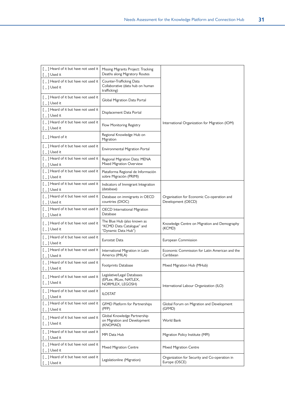| [ _ ] Heard of it but have not used it<br>$\lceil \_$ ] Used it                                      | Missing Migrants Project: Tracking<br>Deaths along Migratory Routes             |                                                                  |  |
|------------------------------------------------------------------------------------------------------|---------------------------------------------------------------------------------|------------------------------------------------------------------|--|
| [_] Heard of it but have not used it<br>$\lceil \_ \rceil$ Used it                                   | Counter-Trafficking Data<br>Collaborative (data hub on human<br>trafficking)    |                                                                  |  |
| [_] Heard of it but have not used it<br>$\lceil \_$ ] Used it                                        | Global Migration Data Portal                                                    |                                                                  |  |
| [_] Heard of it but have not used it<br>$[-]$ Used it                                                | Displacement Data Portal                                                        |                                                                  |  |
| [_] Heard of it but have not used it<br>$\lceil \_$ ] Used it                                        | Flow Monitoring Registry                                                        | International Organization for Migration (IOM)                   |  |
| $\lceil \ \ \rceil$ Heard of it                                                                      | Regional Knowledge Hub on<br>Migration                                          |                                                                  |  |
| [_] Heard of it but have not used it<br>$\lceil \_$ ] Used it                                        | Environmental Migration Portal                                                  |                                                                  |  |
| [ _ ] Heard of it but have not used it<br>$[$ $\Box$ Used it                                         | Regional Migration Data: MENA<br>Mixed Migration Overview                       |                                                                  |  |
| [ _] Heard of it but have not used it<br>$[$ $\Box$ Used it                                          | Plataforma Regional de Información<br>sobre Migración (PRIMI)                   |                                                                  |  |
| [ _] Heard of it but have not used it<br>$\lceil \_$ $\rceil$ Used it                                | Indicators of Immigrant Integration<br>(database)                               |                                                                  |  |
| [ _ ] Heard of it but have not used it<br>$\lceil \_$ ] Used it                                      | Database on immigrants in OECD<br>countries (DIOC)                              | Organisation for Economic Co-operation and<br>Development (OECD) |  |
| [ _ ] Heard of it but have not used it<br>[ _ ] Used it                                              | <b>OECD</b> International Migration<br>Database                                 |                                                                  |  |
| [_] Heard of it but have not used it<br>$[$ $\Box$ Used it                                           | The Blue Hub (also known as<br>"KCMD Data Catalogue" and<br>"Dynamic Data Hub") | Knowledge Centre on Migration and Demography<br>(KCMD)           |  |
| [_] Heard of it but have not used it<br>$[$ $\Box$ Used it                                           | Eurostat Data                                                                   | European Commission                                              |  |
| $\left[\begin{array}{c} 0 \end{array}\right]$ Heard of it but have not used it<br>$[$ $\Box$ Used it | International Migration in Latin<br>America (IMILA)                             | Economic Commission for Latin American and the<br>Caribbean      |  |
| [ _ ] Heard of it but have not used it<br>$\lceil \_$ ] Used it                                      | Footprints Database                                                             | Mixed Migration Hub (MHub)                                       |  |
| [ _ ] Heard of it but have not used it<br>$[$ $\Box$ Used it                                         | Legislative/Legal Databases<br>(EPLex, IRLex, NATLEX,<br>NORMLEX, LEGOSH)       | International Labour Organization (ILO)                          |  |
| [ _ ] Heard of it but have not used it<br>$[$ $\Box$ Used it                                         | <b>ILOSTAT</b>                                                                  |                                                                  |  |
| [_] Heard of it but have not used it<br>$\lceil \_$ ] Used it                                        | <b>GFMD Platform for Partnerships</b><br>(PFP)                                  | Global Forum on Migration and Development<br>(GFMD)              |  |
| [_] Heard of it but have not used it<br>$[$ $\Box$ Used it                                           | Global Knowledge Partnership<br>on Migration and Development<br>(KNOMAD)        | World Bank                                                       |  |
| [_] Heard of it but have not used it<br>$[$ $\Box$ Used it                                           | MPI Data Hub                                                                    | Migration Policy Institute (MPI)                                 |  |
| [_] Heard of it but have not used it<br>$\lceil \_$ ] Used it                                        | Mixed Migration Centre                                                          | Mixed Migration Centre                                           |  |
| [_] Heard of it but have not used it<br>$[$ $\Box$ Used it                                           | Legislationline (Migration)                                                     | Organization for Security and Co-operation in<br>Europe (OSCE)   |  |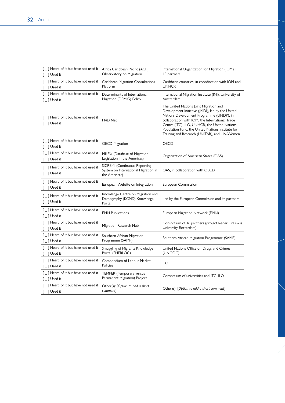| [_] Heard of it but have not used it<br>$[$ $\Box$ Used it                       | Africa Caribbean Pacific (ACP)<br>Observatory on Migration                             | International Organization for Migration (IOM) +<br>15 partners                                                                                                                                                                                                                                                                               |
|----------------------------------------------------------------------------------|----------------------------------------------------------------------------------------|-----------------------------------------------------------------------------------------------------------------------------------------------------------------------------------------------------------------------------------------------------------------------------------------------------------------------------------------------|
| [_] Heard of it but have not used it<br>$[$ $\Box$ Used it                       | Caribbean Migration Consultations<br>Platform                                          | Caribbean countries, in coordination with IOM and<br>UNHCR                                                                                                                                                                                                                                                                                    |
| [_] Heard of it but have not used it<br>$[$ $\Box$ Used it                       | Determinants of International<br>Migration (DEMIG) Policy                              | International Migration Institute (IMI), University of<br>Amsterdam                                                                                                                                                                                                                                                                           |
| [_] Heard of it but have not used it<br>$[$ $\Box$ Used it                       | M4D Net                                                                                | The United Nations Joint Migration and<br>Development Initiative (JMDI), led by the United<br>Nations Development Programme (UNDP), in<br>collaboration with IOM, the International Trade<br>Centre (ITC)-ILO, UNHCR, the United Nations<br>Population Fund, the United Nations Institute for<br>Training and Research (UNITAR), and UN-Women |
| [_] Heard of it but have not used it<br>$[$ $\Box$ Used it                       | <b>OECD Migration</b>                                                                  | OECD                                                                                                                                                                                                                                                                                                                                          |
| [_] Heard of it but have not used it<br>$[$ $\Box$ Used it                       | MILEX (Database of Migration<br>Legislation in the Americas)                           | Organization of American States (OAS)                                                                                                                                                                                                                                                                                                         |
| [_] Heard of it but have not used it<br>$[$ $\Box$ Used it                       | SICREMI (Continuous Reporting<br>System on International Migration in<br>the Americas) | OAS, in collaboration with OECD                                                                                                                                                                                                                                                                                                               |
| [_] Heard of it but have not used it<br>$[$ $\overline{\phantom{a}}$ $]$ Used it | European Website on Integration                                                        | European Commission                                                                                                                                                                                                                                                                                                                           |
| [_] Heard of it but have not used it<br>$[$ $\Box$ Used it                       | Knowledge Centre on Migration and<br>Demography (KCMD) Knowledge<br>Portal             | Led by the European Commission and its partners                                                                                                                                                                                                                                                                                               |
| [_] Heard of it but have not used it<br>$[$ $\Box$ Used it                       | <b>EMN Publications</b>                                                                | European Migration Network (EMN)                                                                                                                                                                                                                                                                                                              |
| [ _ ] Heard of it but have not used it<br>$[$ $\Box$ Used it                     | Migration Research Hub                                                                 | Consortium of 16 partners (project leader: Erasmus<br>University Rotterdam)                                                                                                                                                                                                                                                                   |
| [_] Heard of it but have not used it<br>$[$ $\Box$ Used it                       | Southern African Migration<br>Programme (SAMP)                                         | Southern African Migration Programme (SAMP)                                                                                                                                                                                                                                                                                                   |
| [_] Heard of it but have not used it<br>$[$ $\Box$ Used it                       | Smuggling of Migrants Knowledge<br>Portal (SHERLOC)                                    | United Nations Office on Drugs and Crimes<br>(UNODC)                                                                                                                                                                                                                                                                                          |
| [_] Heard of it but have not used it<br>$[-]$ Used it                            | Compendium of Labour Market<br>Policies                                                | <b>ILO</b>                                                                                                                                                                                                                                                                                                                                    |
| [_] Heard of it but have not used it<br>$\lceil \_$ ] Used it                    | <b>TEMPER</b> (Temporary versus<br>Permanent Migration) Project                        | Consortium of universities and ITC-ILO                                                                                                                                                                                                                                                                                                        |
| [_] Heard of it but have not used it<br>$[$ $\Box$ Used it                       | Other(s): [Option to add a short<br>comment]                                           | Other(s): [Option to add a short comment]                                                                                                                                                                                                                                                                                                     |